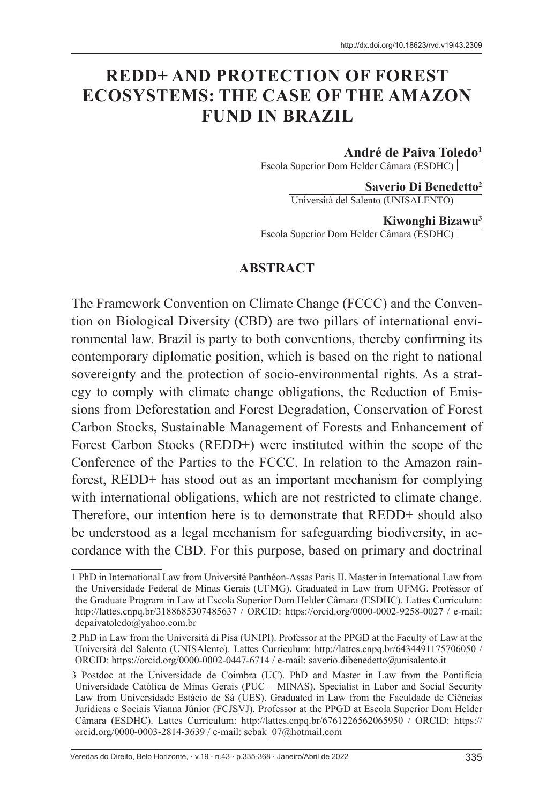# **REDD+ AND PROTECTION OF FOREST ECOSYSTEMS: THE CASE OF THE AMAZON FUND IN BRAZIL**

#### **André de Paiva Toledo1**

Escola Superior Dom Helder Câmara (ESDHC)

**Saverio Di Benedetto2** Università del Salento (UNISALENTO)

#### **Kiwonghi Bizawu3**

Escola Superior Dom Helder Câmara (ESDHC)

#### **ABSTRACT**

The Framework Convention on Climate Change (FCCC) and the Convention on Biological Diversity (CBD) are two pillars of international environmental law. Brazil is party to both conventions, thereby confirming its contemporary diplomatic position, which is based on the right to national sovereignty and the protection of socio-environmental rights. As a strategy to comply with climate change obligations, the Reduction of Emissions from Deforestation and Forest Degradation, Conservation of Forest Carbon Stocks, Sustainable Management of Forests and Enhancement of Forest Carbon Stocks (REDD+) were instituted within the scope of the Conference of the Parties to the FCCC. In relation to the Amazon rainforest, REDD+ has stood out as an important mechanism for complying with international obligations, which are not restricted to climate change. Therefore, our intention here is to demonstrate that REDD+ should also be understood as a legal mechanism for safeguarding biodiversity, in accordance with the CBD. For this purpose, based on primary and doctrinal

Veredas do Direito, Belo Horizonte, v.19 n.43 p.335-368 Janeiro/Abril de 2022 335

<sup>1</sup> PhD in International Law from Université Panthéon-Assas Paris II. Master in International Law from the Universidade Federal de Minas Gerais (UFMG). Graduated in Law from UFMG. Professor of the Graduate Program in Law at Escola Superior Dom Helder Câmara (ESDHC). Lattes Curriculum: http://lattes.cnpq.br/3188685307485637 / ORCID: https://orcid.org/0000-0002-9258-0027 / e-mail: depaivatoledo@yahoo.com.br

<sup>2</sup> PhD in Law from the Università di Pisa (UNIPI). Professor at the PPGD at the Faculty of Law at the Università del Salento (UNISAlento). Lattes Curriculum: http://lattes.cnpq.br/6434491175706050 / ORCID: https://orcid.org/0000-0002-0447-6714 / e-mail: saverio.dibenedetto@unisalento.it

<sup>3</sup> Postdoc at the Universidade de Coimbra (UC). PhD and Master in Law from the Pontifícia Universidade Católica de Minas Gerais (PUC – MINAS). Specialist in Labor and Social Security Law from Universidade Estácio de Sá (UES). Graduated in Law from the Faculdade de Ciências Jurídicas e Sociais Vianna Júnior (FCJSVJ). Professor at the PPGD at Escola Superior Dom Helder Câmara (ESDHC). Lattes Curriculum: http://lattes.cnpq.br/6761226562065950 / ORCID: https:// orcid.org/0000-0003-2814-3639 / e-mail: sebak\_07@hotmail.com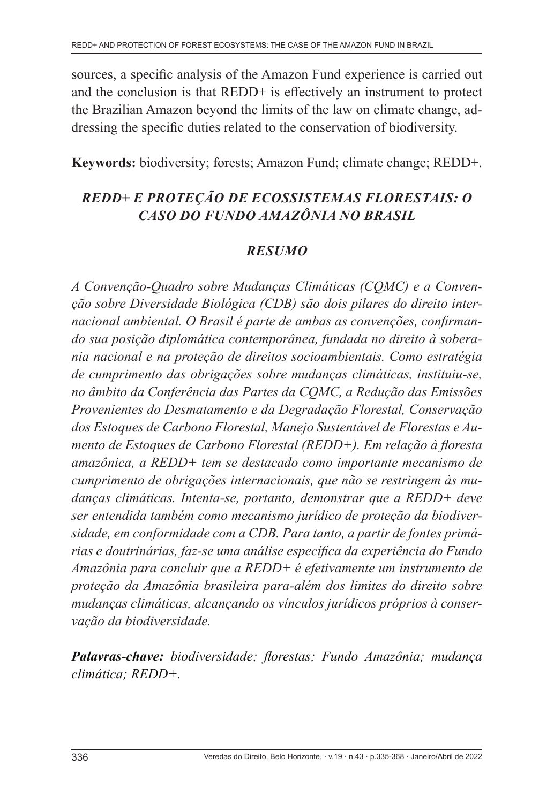sources, a specific analysis of the Amazon Fund experience is carried out and the conclusion is that REDD+ is effectively an instrument to protect the Brazilian Amazon beyond the limits of the law on climate change, addressing the specific duties related to the conservation of biodiversity.

**Keywords:** biodiversity; forests; Amazon Fund; climate change; REDD+.

# *REDD+ E PROTEÇÃO DE ECOSSISTEMAS FLORESTAIS: O CASO DO FUNDO AMAZÔNIA NO BRASIL*

# *RESUMO*

*A Convenção-Quadro sobre Mudanças Climáticas (CQMC) e a Convenção sobre Diversidade Biológica (CDB) são dois pilares do direito internacional ambiental. O Brasil é parte de ambas as convenções, confirmando sua posição diplomática contemporânea, fundada no direito à soberania nacional e na proteção de direitos socioambientais. Como estratégia de cumprimento das obrigações sobre mudanças climáticas, instituiu-se, no âmbito da Conferência das Partes da CQMC, a Redução das Emissões Provenientes do Desmatamento e da Degradação Florestal, Conservação dos Estoques de Carbono Florestal, Manejo Sustentável de Florestas e Aumento de Estoques de Carbono Florestal (REDD+). Em relação à floresta amazônica, a REDD+ tem se destacado como importante mecanismo de cumprimento de obrigações internacionais, que não se restringem às mudanças climáticas. Intenta-se, portanto, demonstrar que a REDD+ deve ser entendida também como mecanismo jurídico de proteção da biodiversidade, em conformidade com a CDB. Para tanto, a partir de fontes primárias e doutrinárias, faz-se uma análise específica da experiência do Fundo Amazônia para concluir que a REDD+ é efetivamente um instrumento de proteção da Amazônia brasileira para-além dos limites do direito sobre mudanças climáticas, alcançando os vínculos jurídicos próprios à conservação da biodiversidade.*

*Palavras-chave: biodiversidade; florestas; Fundo Amazônia; mudança climática; REDD+.*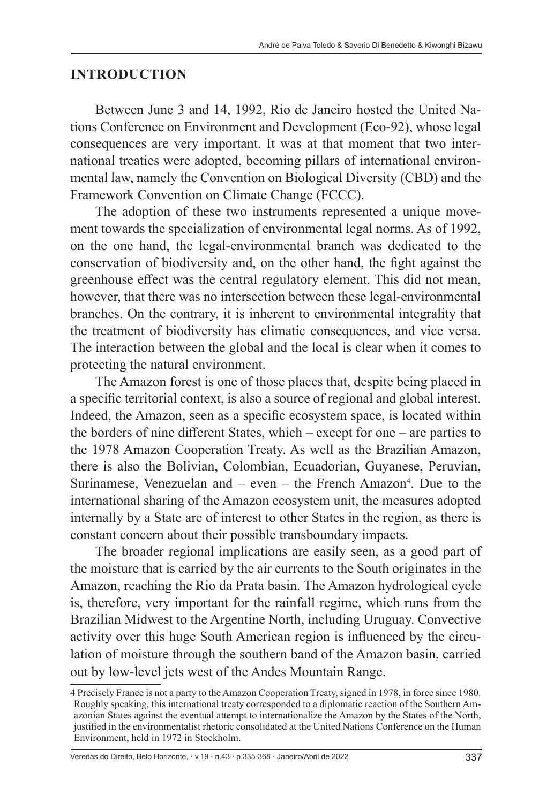#### **INTRODUCTION**

Between June 3 and 14, 1992, Rio de Janeiro hosted the United Nations Conference on Environment and Development (Eco-92), whose legal consequences are very important. It was at that moment that two international treaties were adopted, becoming pillars of international environmental law, namely the Convention on Biological Diversity (CBD) and the Framework Convention on Climate Change (FCCC).

The adoption of these two instruments represented a unique movement towards the specialization of environmental legal norms. As of 1992, on the one hand, the legal-environmental branch was dedicated to the conservation of biodiversity and, on the other hand, the fight against the greenhouse effect was the central regulatory element. This did not mean, however, that there was no intersection between these legal-environmental branches. On the contrary, it is inherent to environmental integrality that the treatment of biodiversity has climatic consequences, and vice versa. The interaction between the global and the local is clear when it comes to protecting the natural environment.

The Amazon forest is one of those places that, despite being placed in a specific territorial context, is also a source of regional and global interest. Indeed, the Amazon, seen as a specific ecosystem space, is located within the borders of nine different States, which – except for one – are parties to the 1978 Amazon Cooperation Treaty. As well as the Brazilian Amazon, there is also the Bolivian, Colombian, Ecuadorian, Guyanese, Peruvian, Surinamese, Venezuelan and  $-$  even  $-$  the French Amazon<sup>4</sup>. Due to the international sharing of the Amazon ecosystem unit, the measures adopted internally by a State are of interest to other States in the region, as there is constant concern about their possible transboundary impacts.

The broader regional implications are easily seen, as a good part of the moisture that is carried by the air currents to the South originates in the Amazon, reaching the Rio da Prata basin. The Amazon hydrological cycle is, therefore, very important for the rainfall regime, which runs from the Brazilian Midwest to the Argentine North, including Uruguay. Convective activity over this huge South American region is influenced by the circulation of moisture through the southern band of the Amazon basin, carried out by low-level jets west of the Andes Mountain Range.

<sup>4</sup> Precisely France is not a party to the Amazon Cooperation Treaty, signed in 1978, in force since 1980. Roughly speaking, this international treaty corresponded to a diplomatic reaction of the Southern Amazonian States against the eventual attempt to internationalize the Amazon by the States of the North, justified in the environmentalist rhetoric consolidated at the United Nations Conference on the Human Environment, held in 1972 in Stockholm.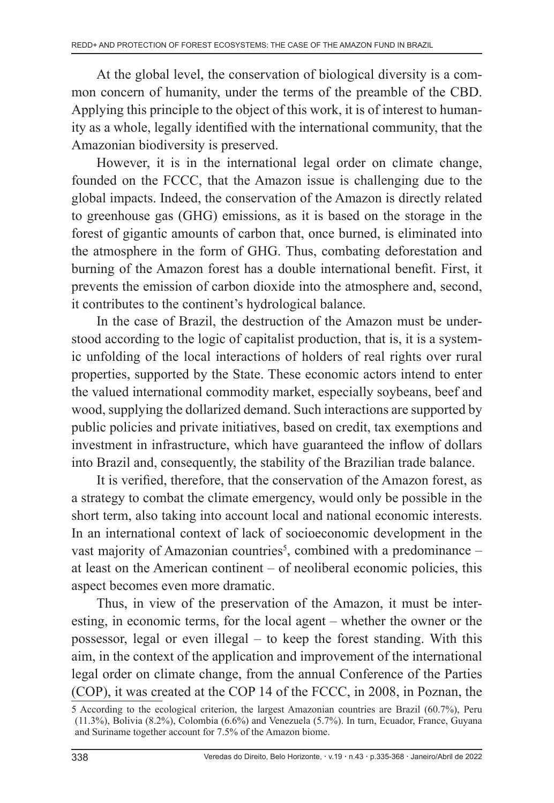At the global level, the conservation of biological diversity is a common concern of humanity, under the terms of the preamble of the CBD. Applying this principle to the object of this work, it is of interest to humanity as a whole, legally identified with the international community, that the Amazonian biodiversity is preserved.

However, it is in the international legal order on climate change, founded on the FCCC, that the Amazon issue is challenging due to the global impacts. Indeed, the conservation of the Amazon is directly related to greenhouse gas (GHG) emissions, as it is based on the storage in the forest of gigantic amounts of carbon that, once burned, is eliminated into the atmosphere in the form of GHG. Thus, combating deforestation and burning of the Amazon forest has a double international benefit. First, it prevents the emission of carbon dioxide into the atmosphere and, second, it contributes to the continent's hydrological balance.

In the case of Brazil, the destruction of the Amazon must be understood according to the logic of capitalist production, that is, it is a systemic unfolding of the local interactions of holders of real rights over rural properties, supported by the State. These economic actors intend to enter the valued international commodity market, especially soybeans, beef and wood, supplying the dollarized demand. Such interactions are supported by public policies and private initiatives, based on credit, tax exemptions and investment in infrastructure, which have guaranteed the inflow of dollars into Brazil and, consequently, the stability of the Brazilian trade balance.

It is verified, therefore, that the conservation of the Amazon forest, as a strategy to combat the climate emergency, would only be possible in the short term, also taking into account local and national economic interests. In an international context of lack of socioeconomic development in the vast majority of Amazonian countries<sup>5</sup>, combined with a predominance  $$ at least on the American continent – of neoliberal economic policies, this aspect becomes even more dramatic.

Thus, in view of the preservation of the Amazon, it must be interesting, in economic terms, for the local agent – whether the owner or the possessor, legal or even illegal – to keep the forest standing. With this aim, in the context of the application and improvement of the international legal order on climate change, from the annual Conference of the Parties (COP), it was created at the COP 14 of the FCCC, in 2008, in Poznan, the

<sup>5</sup> According to the ecological criterion, the largest Amazonian countries are Brazil (60.7%), Peru (11.3%), Bolivia (8.2%), Colombia (6.6%) and Venezuela (5.7%). In turn, Ecuador, France, Guyana and Suriname together account for 7.5% of the Amazon biome.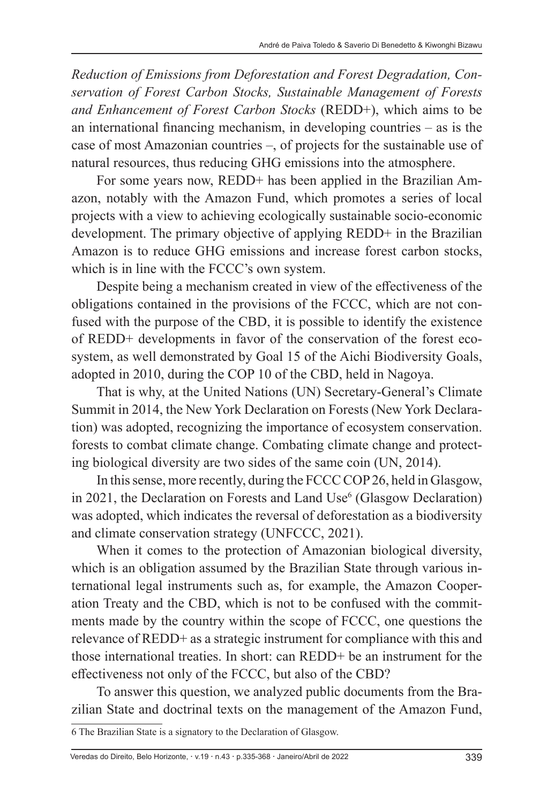*Reduction of Emissions from Deforestation and Forest Degradation, Conservation of Forest Carbon Stocks, Sustainable Management of Forests and Enhancement of Forest Carbon Stocks* (REDD+), which aims to be an international financing mechanism, in developing countries – as is the case of most Amazonian countries –, of projects for the sustainable use of natural resources, thus reducing GHG emissions into the atmosphere.

For some years now, REDD+ has been applied in the Brazilian Amazon, notably with the Amazon Fund, which promotes a series of local projects with a view to achieving ecologically sustainable socio-economic development. The primary objective of applying REDD+ in the Brazilian Amazon is to reduce GHG emissions and increase forest carbon stocks, which is in line with the FCCC's own system.

Despite being a mechanism created in view of the effectiveness of the obligations contained in the provisions of the FCCC, which are not confused with the purpose of the CBD, it is possible to identify the existence of REDD+ developments in favor of the conservation of the forest ecosystem, as well demonstrated by Goal 15 of the Aichi Biodiversity Goals, adopted in 2010, during the COP 10 of the CBD, held in Nagoya.

That is why, at the United Nations (UN) Secretary-General's Climate Summit in 2014, the New York Declaration on Forests (New York Declaration) was adopted, recognizing the importance of ecosystem conservation. forests to combat climate change. Combating climate change and protecting biological diversity are two sides of the same coin (UN, 2014).

In this sense, more recently, during the FCCC COP 26, held in Glasgow, in 2021, the Declaration on Forests and Land Use<sup>6</sup> (Glasgow Declaration) was adopted, which indicates the reversal of deforestation as a biodiversity and climate conservation strategy (UNFCCC, 2021).

When it comes to the protection of Amazonian biological diversity, which is an obligation assumed by the Brazilian State through various international legal instruments such as, for example, the Amazon Cooperation Treaty and the CBD, which is not to be confused with the commitments made by the country within the scope of FCCC, one questions the relevance of REDD+ as a strategic instrument for compliance with this and those international treaties. In short: can REDD+ be an instrument for the effectiveness not only of the FCCC, but also of the CBD?

To answer this question, we analyzed public documents from the Brazilian State and doctrinal texts on the management of the Amazon Fund,

<sup>6</sup> The Brazilian State is a signatory to the Declaration of Glasgow.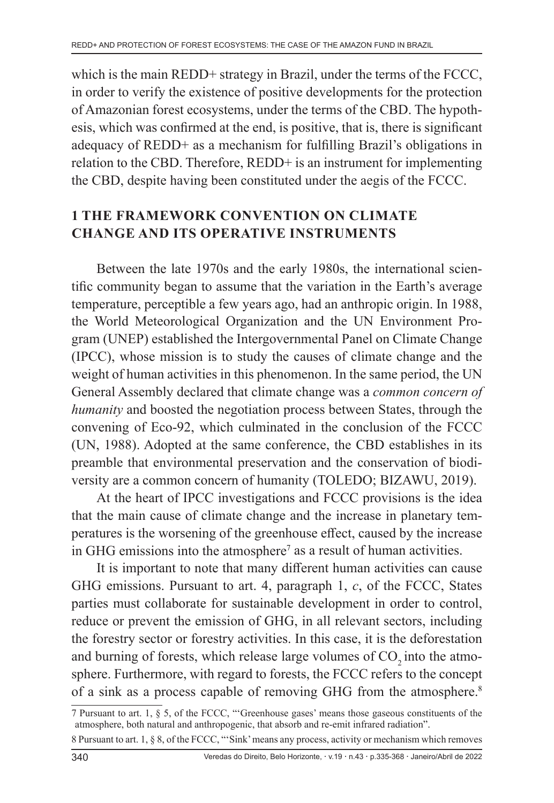which is the main REDD+ strategy in Brazil, under the terms of the FCCC, in order to verify the existence of positive developments for the protection of Amazonian forest ecosystems, under the terms of the CBD. The hypothesis, which was confirmed at the end, is positive, that is, there is significant adequacy of REDD+ as a mechanism for fulfilling Brazil's obligations in relation to the CBD. Therefore, REDD+ is an instrument for implementing the CBD, despite having been constituted under the aegis of the FCCC.

# **1 THE FRAMEWORK CONVENTION ON CLIMATE CHANGE AND ITS OPERATIVE INSTRUMENTS**

Between the late 1970s and the early 1980s, the international scientific community began to assume that the variation in the Earth's average temperature, perceptible a few years ago, had an anthropic origin. In 1988, the World Meteorological Organization and the UN Environment Program (UNEP) established the Intergovernmental Panel on Climate Change (IPCC), whose mission is to study the causes of climate change and the weight of human activities in this phenomenon. In the same period, the UN General Assembly declared that climate change was a *common concern of humanity* and boosted the negotiation process between States, through the convening of Eco-92, which culminated in the conclusion of the FCCC (UN, 1988). Adopted at the same conference, the CBD establishes in its preamble that environmental preservation and the conservation of biodiversity are a common concern of humanity (TOLEDO; BIZAWU, 2019).

At the heart of IPCC investigations and FCCC provisions is the idea that the main cause of climate change and the increase in planetary temperatures is the worsening of the greenhouse effect, caused by the increase in GHG emissions into the atmosphere<sup>7</sup> as a result of human activities.

It is important to note that many different human activities can cause GHG emissions. Pursuant to art. 4, paragraph 1, *c*, of the FCCC, States parties must collaborate for sustainable development in order to control, reduce or prevent the emission of GHG, in all relevant sectors, including the forestry sector or forestry activities. In this case, it is the deforestation and burning of forests, which release large volumes of  $CO<sub>2</sub>$  into the atmosphere. Furthermore, with regard to forests, the FCCC refers to the concept of a sink as a process capable of removing GHG from the atmosphere.<sup>8</sup>

<sup>7</sup> Pursuant to art. 1, § 5, of the FCCC, "'Greenhouse gases' means those gaseous constituents of the atmosphere, both natural and anthropogenic, that absorb and re-emit infrared radiation".

<sup>8</sup> Pursuant to art. 1, § 8, of the FCCC, "'Sink' means any process, activity or mechanism which removes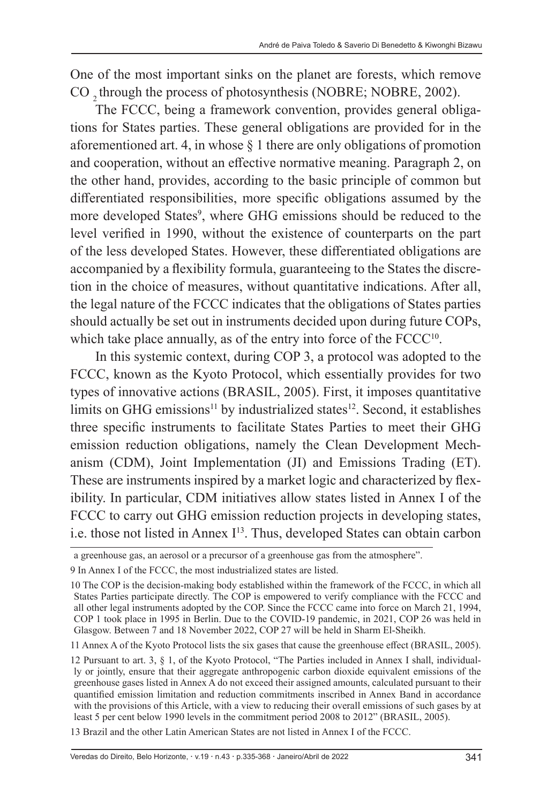One of the most important sinks on the planet are forests, which remove CO 2 through the process of photosynthesis (NOBRE; NOBRE, 2002).

The FCCC, being a framework convention, provides general obligations for States parties. These general obligations are provided for in the aforementioned art. 4, in whose  $\S$  1 there are only obligations of promotion and cooperation, without an effective normative meaning. Paragraph 2, on the other hand, provides, according to the basic principle of common but differentiated responsibilities, more specific obligations assumed by the more developed States<sup>9</sup>, where GHG emissions should be reduced to the level verified in 1990, without the existence of counterparts on the part of the less developed States. However, these differentiated obligations are accompanied by a flexibility formula, guaranteeing to the States the discretion in the choice of measures, without quantitative indications. After all, the legal nature of the FCCC indicates that the obligations of States parties should actually be set out in instruments decided upon during future COPs, which take place annually, as of the entry into force of the FCCC<sup>10</sup>.

In this systemic context, during COP 3, a protocol was adopted to the FCCC, known as the Kyoto Protocol, which essentially provides for two types of innovative actions (BRASIL, 2005). First, it imposes quantitative limits on GHG emissions<sup>11</sup> by industrialized states<sup>12</sup>. Second, it establishes three specific instruments to facilitate States Parties to meet their GHG emission reduction obligations, namely the Clean Development Mechanism (CDM), Joint Implementation (JI) and Emissions Trading (ET). These are instruments inspired by a market logic and characterized by flexibility. In particular, CDM initiatives allow states listed in Annex I of the FCCC to carry out GHG emission reduction projects in developing states, i.e. those not listed in Annex I<sup>13</sup>. Thus, developed States can obtain carbon

13 Brazil and the other Latin American States are not listed in Annex I of the FCCC.

a greenhouse gas, an aerosol or a precursor of a greenhouse gas from the atmosphere".

<sup>9</sup> In Annex I of the FCCC, the most industrialized states are listed.

<sup>10</sup> The COP is the decision-making body established within the framework of the FCCC, in which all States Parties participate directly. The COP is empowered to verify compliance with the FCCC and all other legal instruments adopted by the COP. Since the FCCC came into force on March 21, 1994, COP 1 took place in 1995 in Berlin. Due to the COVID-19 pandemic, in 2021, COP 26 was held in Glasgow. Between 7 and 18 November 2022, COP 27 will be held in Sharm El-Sheikh.

<sup>11</sup> Annex A of the Kyoto Protocol lists the six gases that cause the greenhouse effect (BRASIL, 2005).

<sup>12</sup> Pursuant to art. 3, § 1, of the Kyoto Protocol, "The Parties included in Annex I shall, individually or jointly, ensure that their aggregate anthropogenic carbon dioxide equivalent emissions of the greenhouse gases listed in Annex A do not exceed their assigned amounts, calculated pursuant to their quantified emission limitation and reduction commitments inscribed in Annex Band in accordance with the provisions of this Article, with a view to reducing their overall emissions of such gases by at least 5 per cent below 1990 levels in the commitment period 2008 to 2012" (BRASIL, 2005).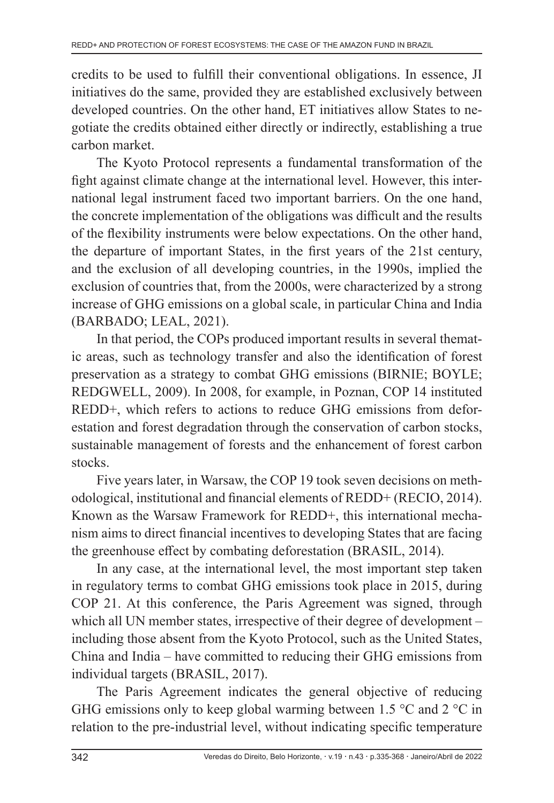credits to be used to fulfill their conventional obligations. In essence, JI initiatives do the same, provided they are established exclusively between developed countries. On the other hand, ET initiatives allow States to negotiate the credits obtained either directly or indirectly, establishing a true carbon market.

The Kyoto Protocol represents a fundamental transformation of the fight against climate change at the international level. However, this international legal instrument faced two important barriers. On the one hand, the concrete implementation of the obligations was difficult and the results of the flexibility instruments were below expectations. On the other hand, the departure of important States, in the first years of the 21st century, and the exclusion of all developing countries, in the 1990s, implied the exclusion of countries that, from the 2000s, were characterized by a strong increase of GHG emissions on a global scale, in particular China and India (BARBADO; LEAL, 2021).

In that period, the COPs produced important results in several thematic areas, such as technology transfer and also the identification of forest preservation as a strategy to combat GHG emissions (BIRNIE; BOYLE; REDGWELL, 2009). In 2008, for example, in Poznan, COP 14 instituted REDD+, which refers to actions to reduce GHG emissions from deforestation and forest degradation through the conservation of carbon stocks, sustainable management of forests and the enhancement of forest carbon stocks.

Five years later, in Warsaw, the COP 19 took seven decisions on methodological, institutional and financial elements of REDD+ (RECIO, 2014). Known as the Warsaw Framework for REDD+, this international mechanism aims to direct financial incentives to developing States that are facing the greenhouse effect by combating deforestation (BRASIL, 2014).

In any case, at the international level, the most important step taken in regulatory terms to combat GHG emissions took place in 2015, during COP 21. At this conference, the Paris Agreement was signed, through which all UN member states, irrespective of their degree of development – including those absent from the Kyoto Protocol, such as the United States, China and India – have committed to reducing their GHG emissions from individual targets (BRASIL, 2017).

The Paris Agreement indicates the general objective of reducing GHG emissions only to keep global warming between 1.5  $\degree$ C and 2  $\degree$ C in relation to the pre-industrial level, without indicating specific temperature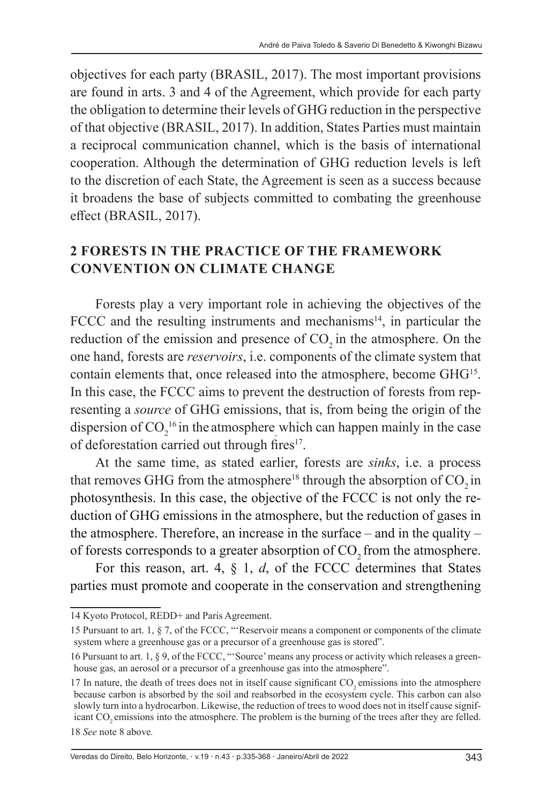objectives for each party (BRASIL, 2017). The most important provisions are found in arts. 3 and 4 of the Agreement, which provide for each party the obligation to determine their levels of GHG reduction in the perspective of that objective (BRASIL, 2017). In addition, States Parties must maintain a reciprocal communication channel, which is the basis of international cooperation. Although the determination of GHG reduction levels is left to the discretion of each State, the Agreement is seen as a success because it broadens the base of subjects committed to combating the greenhouse effect (BRASIL, 2017).

#### **2 FORESTS IN THE PRACTICE OF THE FRAMEWORK CONVENTION ON CLIMATE CHANGE**

Forests play a very important role in achieving the objectives of the FCCC and the resulting instruments and mechanisms<sup>14</sup>, in particular the reduction of the emission and presence of  $CO<sub>2</sub>$  in the atmosphere. On the one hand, forests are *reservoirs*, i.e. components of the climate system that contain elements that, once released into the atmosphere, become GHG15. In this case, the FCCC aims to prevent the destruction of forests from representing a *source* of GHG emissions, that is, from being the origin of the dispersion of  $CO_2^{16}$  in the atmosphere, which can happen mainly in the case of deforestation carried out through fires<sup>17</sup>.

At the same time, as stated earlier, forests are *sinks*, i.e. a process that removes GHG from the atmosphere<sup>18</sup> through the absorption of  $CO<sub>2</sub>$  in photosynthesis. In this case, the objective of the FCCC is not only the reduction of GHG emissions in the atmosphere, but the reduction of gases in the atmosphere. Therefore, an increase in the surface – and in the quality – of forests corresponds to a greater absorption of CO<sub>2</sub> from the atmosphere.

For this reason, art. 4, § 1, *d*, of the FCCC determines that States parties must promote and cooperate in the conservation and strengthening

18 *See* note 8 above*.*

Veredas do Direito, Belo Horizonte, · v.19 · n.43 · p.335-368 · Janeiro/Abril de 2022 343

<sup>14</sup> Kyoto Protocol, REDD+ and Paris Agreement.

<sup>15</sup> Pursuant to art. 1, § 7, of the FCCC, "'Reservoir means a component or components of the climate system where a greenhouse gas or a precursor of a greenhouse gas is stored".

<sup>16</sup> Pursuant to art. 1, § 9, of the FCCC, "'Source' means any process or activity which releases a greenhouse gas, an aerosol or a precursor of a greenhouse gas into the atmosphere".

<sup>17</sup> In nature, the death of trees does not in itself cause significant CO<sub>2</sub> emissions into the atmosphere because carbon is absorbed by the soil and reabsorbed in the ecosystem cycle. This carbon can also slowly turn into a hydrocarbon. Likewise, the reduction of trees to wood does not in itself cause significant CO<sub>2</sub> emissions into the atmosphere. The problem is the burning of the trees after they are felled.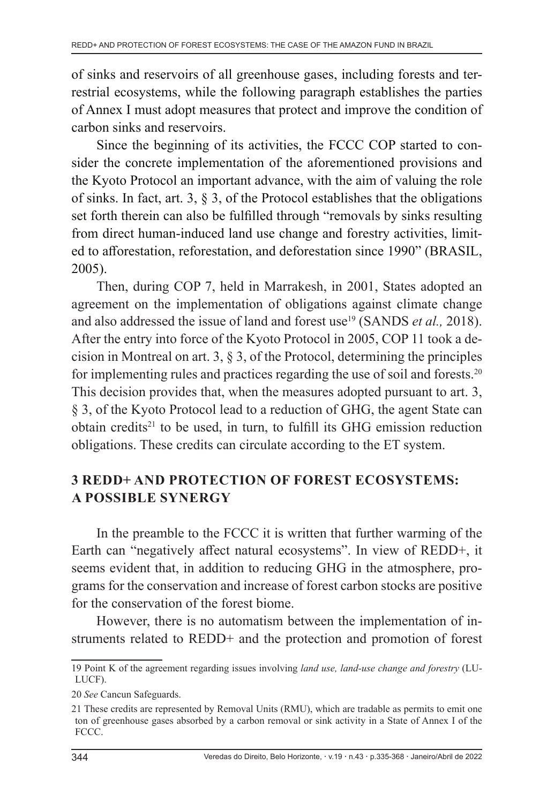of sinks and reservoirs of all greenhouse gases, including forests and terrestrial ecosystems, while the following paragraph establishes the parties of Annex I must adopt measures that protect and improve the condition of carbon sinks and reservoirs.

Since the beginning of its activities, the FCCC COP started to consider the concrete implementation of the aforementioned provisions and the Kyoto Protocol an important advance, with the aim of valuing the role of sinks. In fact, art. 3, § 3, of the Protocol establishes that the obligations set forth therein can also be fulfilled through "removals by sinks resulting from direct human-induced land use change and forestry activities, limited to afforestation, reforestation, and deforestation since 1990" (BRASIL, 2005).

Then, during COP 7, held in Marrakesh, in 2001, States adopted an agreement on the implementation of obligations against climate change and also addressed the issue of land and forest use<sup>19</sup> (SANDS *et al.*, 2018). After the entry into force of the Kyoto Protocol in 2005, COP 11 took a decision in Montreal on art. 3, § 3, of the Protocol, determining the principles for implementing rules and practices regarding the use of soil and forests.20 This decision provides that, when the measures adopted pursuant to art. 3, § 3, of the Kyoto Protocol lead to a reduction of GHG, the agent State can obtain credits<sup>21</sup> to be used, in turn, to fulfill its GHG emission reduction obligations. These credits can circulate according to the ET system.

# **3 REDD+ AND PROTECTION OF FOREST ECOSYSTEMS: A POSSIBLE SYNERGY**

In the preamble to the FCCC it is written that further warming of the Earth can "negatively affect natural ecosystems". In view of REDD+, it seems evident that, in addition to reducing GHG in the atmosphere, programs for the conservation and increase of forest carbon stocks are positive for the conservation of the forest biome.

However, there is no automatism between the implementation of instruments related to REDD+ and the protection and promotion of forest

<sup>19</sup> Point K of the agreement regarding issues involving *land use, land-use change and forestry* (LU-LUCF).

<sup>20</sup> *See* Cancun Safeguards.

<sup>21</sup> These credits are represented by Removal Units (RMU), which are tradable as permits to emit one ton of greenhouse gases absorbed by a carbon removal or sink activity in a State of Annex I of the FCCC.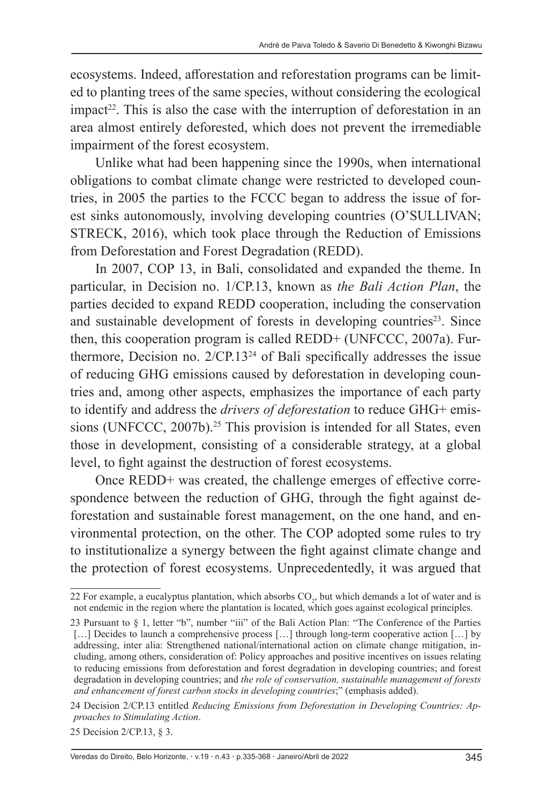ecosystems. Indeed, afforestation and reforestation programs can be limited to planting trees of the same species, without considering the ecological  $impact<sup>22</sup>$ . This is also the case with the interruption of deforestation in an area almost entirely deforested, which does not prevent the irremediable impairment of the forest ecosystem.

Unlike what had been happening since the 1990s, when international obligations to combat climate change were restricted to developed countries, in 2005 the parties to the FCCC began to address the issue of forest sinks autonomously, involving developing countries (O'SULLIVAN; STRECK, 2016), which took place through the Reduction of Emissions from Deforestation and Forest Degradation (REDD).

In 2007, COP 13, in Bali, consolidated and expanded the theme. In particular, in Decision no. 1/CP.13, known as *the Bali Action Plan*, the parties decided to expand REDD cooperation, including the conservation and sustainable development of forests in developing countries $2<sup>3</sup>$ . Since then, this cooperation program is called REDD+ (UNFCCC, 2007a). Furthermore, Decision no. 2/CP.1324 of Bali specifically addresses the issue of reducing GHG emissions caused by deforestation in developing countries and, among other aspects, emphasizes the importance of each party to identify and address the *drivers of deforestation* to reduce GHG+ emissions (UNFCCC, 2007b).<sup>25</sup> This provision is intended for all States, even those in development, consisting of a considerable strategy, at a global level, to fight against the destruction of forest ecosystems.

Once REDD+ was created, the challenge emerges of effective correspondence between the reduction of GHG, through the fight against deforestation and sustainable forest management, on the one hand, and environmental protection, on the other. The COP adopted some rules to try to institutionalize a synergy between the fight against climate change and the protection of forest ecosystems. Unprecedentedly, it was argued that

Veredas do Direito, Belo Horizonte, · v.19 · n.43 · p.335-368 · Janeiro/Abril de 2022 345

<sup>22</sup> For example, a eucalyptus plantation, which absorbs  $CO<sub>2</sub>$ , but which demands a lot of water and is not endemic in the region where the plantation is located, which goes against ecological principles.

<sup>23</sup> Pursuant to § 1, letter "b", number "iii" of the Bali Action Plan: "The Conference of the Parties [...] Decides to launch a comprehensive process [...] through long-term cooperative action [...] by addressing, inter alia: Strengthened national/international action on climate change mitigation, including, among others, consideration of: Policy approaches and positive incentives on issues relating to reducing emissions from deforestation and forest degradation in developing countries; and forest degradation in developing countries; and *the role of conservation, sustainable management of forests and enhancement of forest carbon stocks in developing countries*;" (emphasis added).

<sup>24</sup> Decision 2/CP.13 entitled *Reducing Emissions from Deforestation in Developing Countries: Approaches to Stimulating Action*.

<sup>25</sup> Decision 2/CP.13, § 3.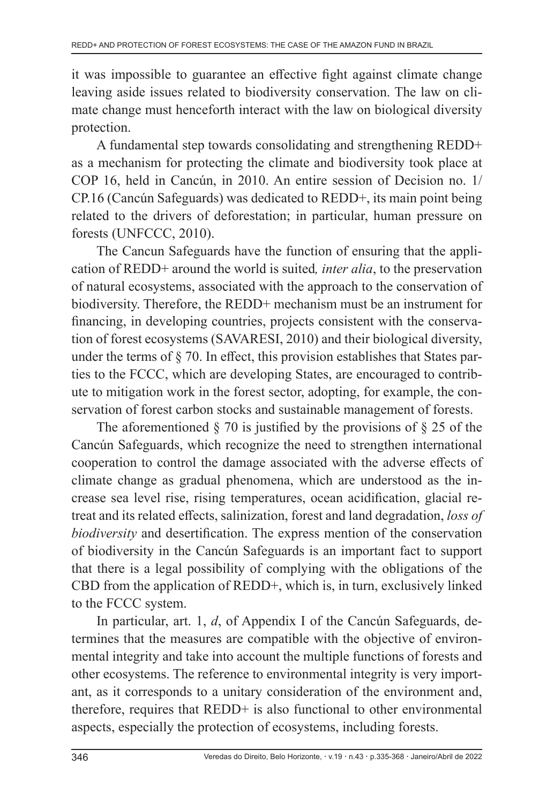it was impossible to guarantee an effective fight against climate change leaving aside issues related to biodiversity conservation. The law on climate change must henceforth interact with the law on biological diversity protection.

A fundamental step towards consolidating and strengthening REDD+ as a mechanism for protecting the climate and biodiversity took place at COP 16, held in Cancún, in 2010. An entire session of Decision no. 1/ CP.16 (Cancún Safeguards) was dedicated to REDD+, its main point being related to the drivers of deforestation; in particular, human pressure on forests (UNFCCC, 2010).

The Cancun Safeguards have the function of ensuring that the application of REDD+ around the world is suited*, inter alia*, to the preservation of natural ecosystems, associated with the approach to the conservation of biodiversity. Therefore, the REDD+ mechanism must be an instrument for financing, in developing countries, projects consistent with the conservation of forest ecosystems (SAVARESI, 2010) and their biological diversity, under the terms of § 70. In effect, this provision establishes that States parties to the FCCC, which are developing States, are encouraged to contribute to mitigation work in the forest sector, adopting, for example, the conservation of forest carbon stocks and sustainable management of forests.

The aforementioned  $\S$  70 is justified by the provisions of  $\S$  25 of the Cancún Safeguards, which recognize the need to strengthen international cooperation to control the damage associated with the adverse effects of climate change as gradual phenomena, which are understood as the increase sea level rise, rising temperatures, ocean acidification, glacial retreat and its related effects, salinization, forest and land degradation, *loss of biodiversity* and desertification. The express mention of the conservation of biodiversity in the Cancún Safeguards is an important fact to support that there is a legal possibility of complying with the obligations of the CBD from the application of REDD+, which is, in turn, exclusively linked to the FCCC system.

In particular, art. 1, *d*, of Appendix I of the Cancún Safeguards, determines that the measures are compatible with the objective of environmental integrity and take into account the multiple functions of forests and other ecosystems. The reference to environmental integrity is very important, as it corresponds to a unitary consideration of the environment and, therefore, requires that REDD+ is also functional to other environmental aspects, especially the protection of ecosystems, including forests.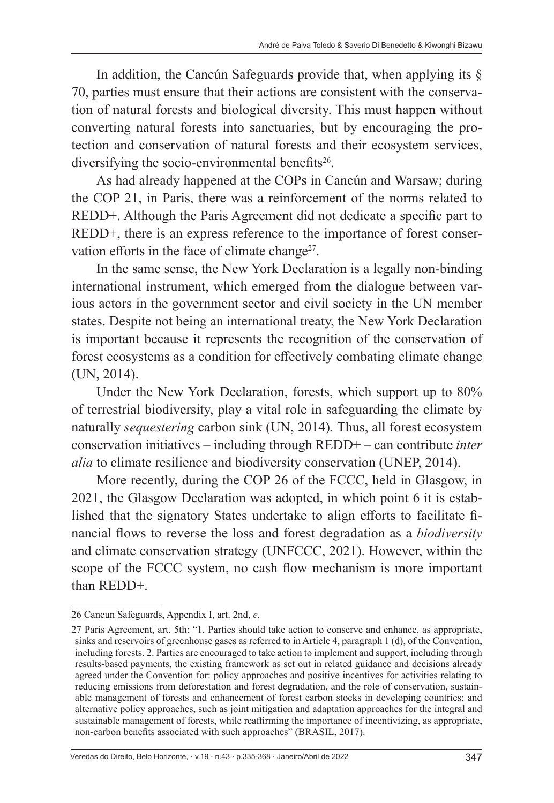In addition, the Cancún Safeguards provide that, when applying its  $\delta$ 70, parties must ensure that their actions are consistent with the conservation of natural forests and biological diversity. This must happen without converting natural forests into sanctuaries, but by encouraging the protection and conservation of natural forests and their ecosystem services, diversifying the socio-environmental benefits<sup>26</sup>.

As had already happened at the COPs in Cancún and Warsaw; during the COP 21, in Paris, there was a reinforcement of the norms related to REDD+. Although the Paris Agreement did not dedicate a specific part to REDD+, there is an express reference to the importance of forest conservation efforts in the face of climate change<sup>27</sup>.

In the same sense, the New York Declaration is a legally non-binding international instrument, which emerged from the dialogue between various actors in the government sector and civil society in the UN member states. Despite not being an international treaty, the New York Declaration is important because it represents the recognition of the conservation of forest ecosystems as a condition for effectively combating climate change (UN, 2014).

Under the New York Declaration, forests, which support up to 80% of terrestrial biodiversity, play a vital role in safeguarding the climate by naturally *sequestering* carbon sink (UN, 2014)*.* Thus, all forest ecosystem conservation initiatives – including through REDD+ – can contribute *inter alia* to climate resilience and biodiversity conservation (UNEP, 2014).

More recently, during the COP 26 of the FCCC, held in Glasgow, in 2021, the Glasgow Declaration was adopted, in which point 6 it is established that the signatory States undertake to align efforts to facilitate financial flows to reverse the loss and forest degradation as a *biodiversity*  and climate conservation strategy (UNFCCC, 2021). However, within the scope of the FCCC system, no cash flow mechanism is more important than REDD+.

<sup>26</sup> Cancun Safeguards, Appendix I, art. 2nd, *e.*

<sup>27</sup> Paris Agreement, art. 5th: "1. Parties should take action to conserve and enhance, as appropriate, sinks and reservoirs of greenhouse gases as referred to in Article 4, paragraph 1 (d), of the Convention, including forests. 2. Parties are encouraged to take action to implement and support, including through results-based payments, the existing framework as set out in related guidance and decisions already agreed under the Convention for: policy approaches and positive incentives for activities relating to reducing emissions from deforestation and forest degradation, and the role of conservation, sustainable management of forests and enhancement of forest carbon stocks in developing countries; and alternative policy approaches, such as joint mitigation and adaptation approaches for the integral and sustainable management of forests, while reaffirming the importance of incentivizing, as appropriate, non-carbon benefits associated with such approaches" (BRASIL, 2017).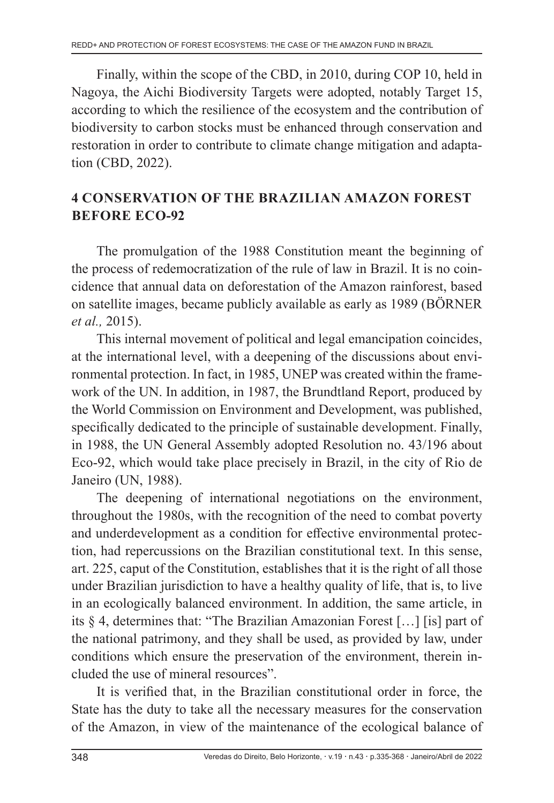Finally, within the scope of the CBD, in 2010, during COP 10, held in Nagoya, the Aichi Biodiversity Targets were adopted, notably Target 15, according to which the resilience of the ecosystem and the contribution of biodiversity to carbon stocks must be enhanced through conservation and restoration in order to contribute to climate change mitigation and adaptation (CBD, 2022).

# **4 CONSERVATION OF THE BRAZILIAN AMAZON FOREST BEFORE ECO-92**

The promulgation of the 1988 Constitution meant the beginning of the process of redemocratization of the rule of law in Brazil. It is no coincidence that annual data on deforestation of the Amazon rainforest, based on satellite images, became publicly available as early as 1989 (BÖRNER *et al.,* 2015).

This internal movement of political and legal emancipation coincides, at the international level, with a deepening of the discussions about environmental protection. In fact, in 1985, UNEP was created within the framework of the UN. In addition, in 1987, the Brundtland Report, produced by the World Commission on Environment and Development, was published, specifically dedicated to the principle of sustainable development. Finally, in 1988, the UN General Assembly adopted Resolution no. 43/196 about Eco-92, which would take place precisely in Brazil, in the city of Rio de Janeiro (UN, 1988).

The deepening of international negotiations on the environment, throughout the 1980s, with the recognition of the need to combat poverty and underdevelopment as a condition for effective environmental protection, had repercussions on the Brazilian constitutional text. In this sense, art. 225, caput of the Constitution, establishes that it is the right of all those under Brazilian jurisdiction to have a healthy quality of life, that is, to live in an ecologically balanced environment. In addition, the same article, in its § 4, determines that: "The Brazilian Amazonian Forest […] [is] part of the national patrimony, and they shall be used, as provided by law, under conditions which ensure the preservation of the environment, therein included the use of mineral resources".

It is verified that, in the Brazilian constitutional order in force, the State has the duty to take all the necessary measures for the conservation of the Amazon, in view of the maintenance of the ecological balance of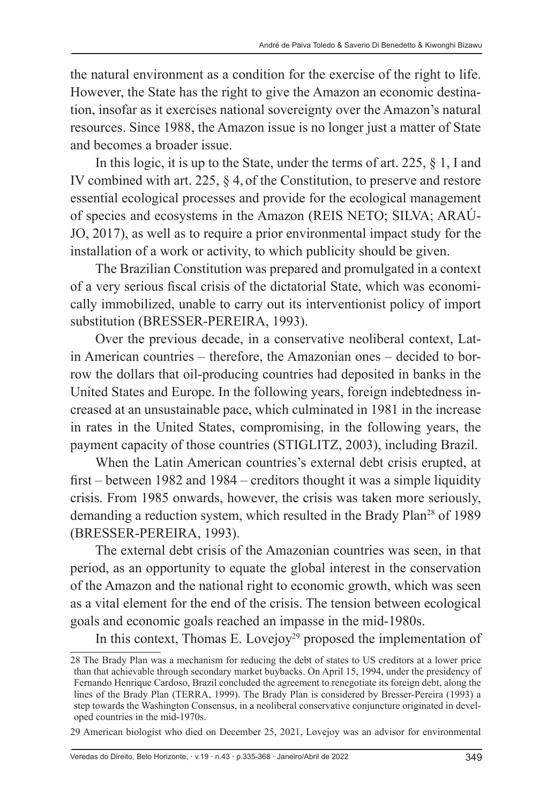the natural environment as a condition for the exercise of the right to life. However, the State has the right to give the Amazon an economic destination, insofar as it exercises national sovereignty over the Amazon's natural resources. Since 1988, the Amazon issue is no longer just a matter of State and becomes a broader issue.

In this logic, it is up to the State, under the terms of art. 225, § 1, I and IV combined with art. 225, § 4, of the Constitution, to preserve and restore essential ecological processes and provide for the ecological management of species and ecosystems in the Amazon (REIS NETO; SILVA; ARAÚ-JO, 2017), as well as to require a prior environmental impact study for the installation of a work or activity, to which publicity should be given.

The Brazilian Constitution was prepared and promulgated in a context of a very serious fiscal crisis of the dictatorial State, which was economically immobilized, unable to carry out its interventionist policy of import substitution (BRESSER-PEREIRA, 1993).

Over the previous decade, in a conservative neoliberal context, Latin American countries – therefore, the Amazonian ones – decided to borrow the dollars that oil-producing countries had deposited in banks in the United States and Europe. In the following years, foreign indebtedness increased at an unsustainable pace, which culminated in 1981 in the increase in rates in the United States, compromising, in the following years, the payment capacity of those countries (STIGLITZ, 2003), including Brazil.

When the Latin American countries's external debt crisis erupted, at first – between 1982 and 1984 – creditors thought it was a simple liquidity crisis. From 1985 onwards, however, the crisis was taken more seriously, demanding a reduction system, which resulted in the Brady Plan<sup>28</sup> of 1989 (BRESSER-PEREIRA, 1993).

The external debt crisis of the Amazonian countries was seen, in that period, as an opportunity to equate the global interest in the conservation of the Amazon and the national right to economic growth, which was seen as a vital element for the end of the crisis. The tension between ecological goals and economic goals reached an impasse in the mid-1980s.

In this context, Thomas E. Lovejoy<sup>29</sup> proposed the implementation of

<sup>28</sup> The Brady Plan was a mechanism for reducing the debt of states to US creditors at a lower price than that achievable through secondary market buybacks. On April 15, 1994, under the presidency of Fernando Henrique Cardoso, Brazil concluded the agreement to renegotiate its foreign debt, along the lines of the Brady Plan (TERRA, 1999). The Brady Plan is considered by Bresser-Pereira (1993) a step towards the Washington Consensus, in a neoliberal conservative conjuncture originated in developed countries in the mid-1970s.

<sup>29</sup> American biologist who died on December 25, 2021, Lovejoy was an advisor for environmental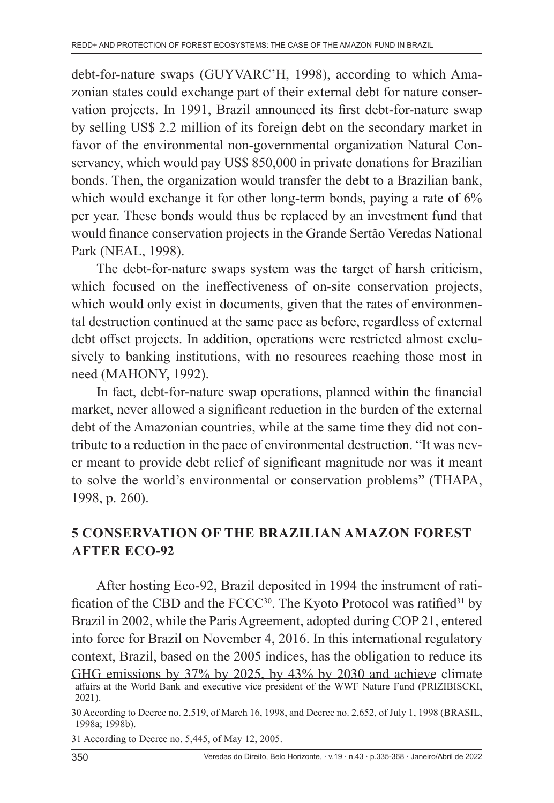debt-for-nature swaps (GUYVARC'H, 1998), according to which Amazonian states could exchange part of their external debt for nature conservation projects. In 1991, Brazil announced its first debt-for-nature swap by selling US\$ 2.2 million of its foreign debt on the secondary market in favor of the environmental non-governmental organization Natural Conservancy, which would pay US\$ 850,000 in private donations for Brazilian bonds. Then, the organization would transfer the debt to a Brazilian bank, which would exchange it for other long-term bonds, paying a rate of 6% per year. These bonds would thus be replaced by an investment fund that would finance conservation projects in the Grande Sertão Veredas National Park (NEAL, 1998).

The debt-for-nature swaps system was the target of harsh criticism, which focused on the ineffectiveness of on-site conservation projects, which would only exist in documents, given that the rates of environmental destruction continued at the same pace as before, regardless of external debt offset projects. In addition, operations were restricted almost exclusively to banking institutions, with no resources reaching those most in need (MAHONY, 1992).

In fact, debt-for-nature swap operations, planned within the financial market, never allowed a significant reduction in the burden of the external debt of the Amazonian countries, while at the same time they did not contribute to a reduction in the pace of environmental destruction. "It was never meant to provide debt relief of significant magnitude nor was it meant to solve the world's environmental or conservation problems" (THAPA, 1998, p. 260).

# **5 CONSERVATION OF THE BRAZILIAN AMAZON FOREST AFTER ECO-92**

After hosting Eco-92, Brazil deposited in 1994 the instrument of ratification of the CBD and the FCCC<sup>30</sup>. The Kyoto Protocol was ratified<sup>31</sup> by Brazil in 2002, while the Paris Agreement, adopted during COP 21, entered into force for Brazil on November 4, 2016. In this international regulatory context, Brazil, based on the 2005 indices, has the obligation to reduce its GHG emissions by 37% by 2025, by 43% by 2030 and achieve climate affairs at the World Bank and executive vice president of the WWF Nature Fund (PRIZIBISCKI, 2021).

31 According to Decree no. 5,445, of May 12, 2005.

<sup>30</sup> According to Decree no. 2,519, of March 16, 1998, and Decree no. 2,652, of July 1, 1998 (BRASIL, 1998a; 1998b).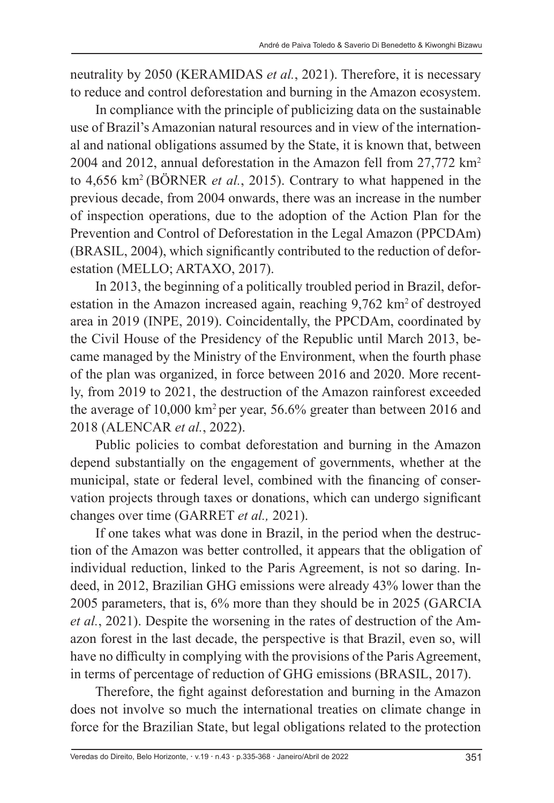neutrality by 2050 (KERAMIDAS *et al.*, 2021). Therefore, it is necessary to reduce and control deforestation and burning in the Amazon ecosystem.

In compliance with the principle of publicizing data on the sustainable use of Brazil's Amazonian natural resources and in view of the international and national obligations assumed by the State, it is known that, between 2004 and 2012, annual deforestation in the Amazon fell from 27,772 km2 to 4,656 km2 (BÖRNER *et al.*, 2015). Contrary to what happened in the previous decade, from 2004 onwards, there was an increase in the number of inspection operations, due to the adoption of the Action Plan for the Prevention and Control of Deforestation in the Legal Amazon (PPCDAm) (BRASIL, 2004), which significantly contributed to the reduction of deforestation (MELLO; ARTAXO, 2017).

In 2013, the beginning of a politically troubled period in Brazil, deforestation in the Amazon increased again, reaching 9,762 km<sup>2</sup> of destroyed area in 2019 (INPE, 2019). Coincidentally, the PPCDAm, coordinated by the Civil House of the Presidency of the Republic until March 2013, became managed by the Ministry of the Environment, when the fourth phase of the plan was organized, in force between 2016 and 2020. More recently, from 2019 to 2021, the destruction of the Amazon rainforest exceeded the average of 10,000 km2 per year, 56.6% greater than between 2016 and 2018 (ALENCAR *et al.*, 2022).

Public policies to combat deforestation and burning in the Amazon depend substantially on the engagement of governments, whether at the municipal, state or federal level, combined with the financing of conservation projects through taxes or donations, which can undergo significant changes over time (GARRET *et al.,* 2021).

If one takes what was done in Brazil, in the period when the destruction of the Amazon was better controlled, it appears that the obligation of individual reduction, linked to the Paris Agreement, is not so daring. Indeed, in 2012, Brazilian GHG emissions were already 43% lower than the 2005 parameters, that is, 6% more than they should be in 2025 (GARCIA *et al.*, 2021). Despite the worsening in the rates of destruction of the Amazon forest in the last decade, the perspective is that Brazil, even so, will have no difficulty in complying with the provisions of the Paris Agreement, in terms of percentage of reduction of GHG emissions (BRASIL, 2017).

Therefore, the fight against deforestation and burning in the Amazon does not involve so much the international treaties on climate change in force for the Brazilian State, but legal obligations related to the protection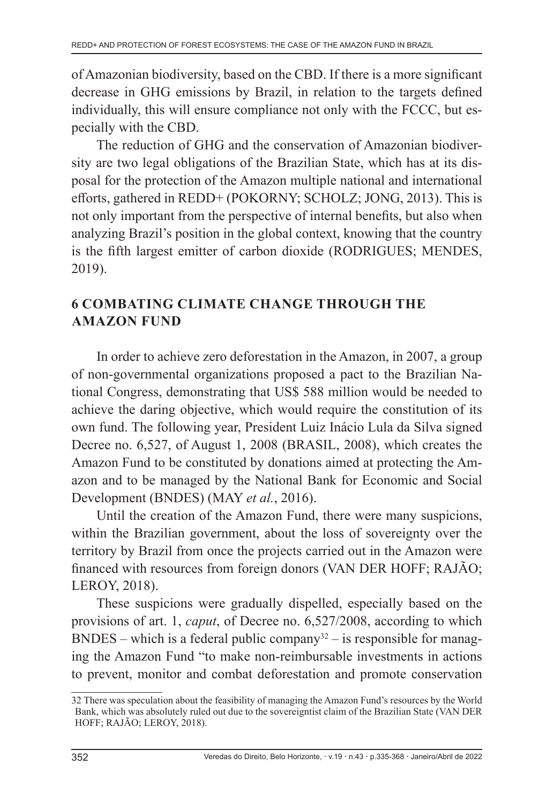of Amazonian biodiversity, based on the CBD. If there is a more significant decrease in GHG emissions by Brazil, in relation to the targets defined individually, this will ensure compliance not only with the FCCC, but especially with the CBD.

The reduction of GHG and the conservation of Amazonian biodiversity are two legal obligations of the Brazilian State, which has at its disposal for the protection of the Amazon multiple national and international efforts, gathered in REDD+ (POKORNY; SCHOLZ; JONG, 2013). This is not only important from the perspective of internal benefits, but also when analyzing Brazil's position in the global context, knowing that the country is the fifth largest emitter of carbon dioxide (RODRIGUES; MENDES, 2019).

# **6 COMBATING CLIMATE CHANGE THROUGH THE AMAZON FUND**

In order to achieve zero deforestation in the Amazon, in 2007, a group of non-governmental organizations proposed a pact to the Brazilian National Congress, demonstrating that US\$ 588 million would be needed to achieve the daring objective, which would require the constitution of its own fund. The following year, President Luiz Inácio Lula da Silva signed Decree no. 6,527, of August 1, 2008 (BRASIL, 2008), which creates the Amazon Fund to be constituted by donations aimed at protecting the Amazon and to be managed by the National Bank for Economic and Social Development (BNDES) (MAY *et al.*, 2016).

Until the creation of the Amazon Fund, there were many suspicions, within the Brazilian government, about the loss of sovereignty over the territory by Brazil from once the projects carried out in the Amazon were financed with resources from foreign donors (VAN DER HOFF; RAJÃO; LEROY, 2018).

These suspicions were gradually dispelled, especially based on the provisions of art. 1, *caput*, of Decree no. 6,527/2008, according to which BNDES – which is a federal public company<sup>32</sup> – is responsible for managing the Amazon Fund "to make non-reimbursable investments in actions to prevent, monitor and combat deforestation and promote conservation

<sup>32</sup> There was speculation about the feasibility of managing the Amazon Fund's resources by the World Bank, which was absolutely ruled out due to the sovereigntist claim of the Brazilian State (VAN DER HOFF; RAJÃO; LEROY, 2018).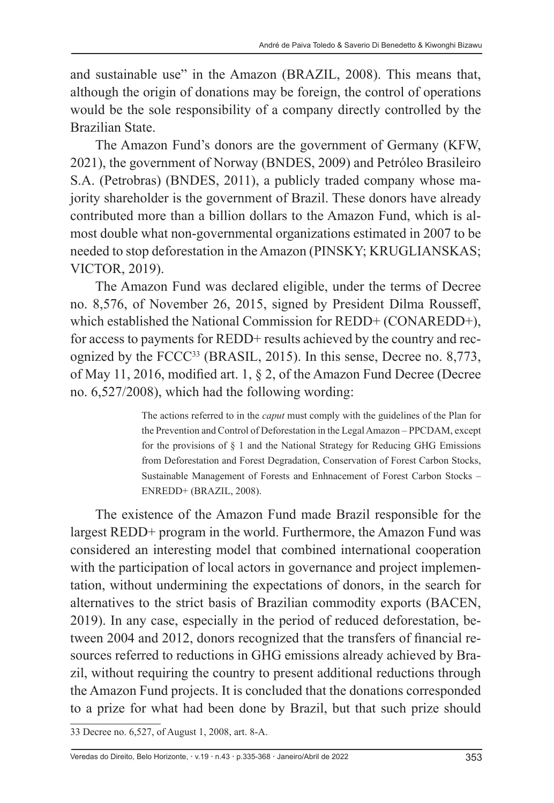and sustainable use" in the Amazon (BRAZIL, 2008). This means that, although the origin of donations may be foreign, the control of operations would be the sole responsibility of a company directly controlled by the Brazilian State.

The Amazon Fund's donors are the government of Germany (KFW, 2021), the government of Norway (BNDES, 2009) and Petróleo Brasileiro S.A. (Petrobras) (BNDES, 2011), a publicly traded company whose majority shareholder is the government of Brazil. These donors have already contributed more than a billion dollars to the Amazon Fund, which is almost double what non-governmental organizations estimated in 2007 to be needed to stop deforestation in the Amazon (PINSKY; KRUGLIANSKAS; VICTOR, 2019).

The Amazon Fund was declared eligible, under the terms of Decree no. 8,576, of November 26, 2015, signed by President Dilma Rousseff, which established the National Commission for REDD+ (CONAREDD+), for access to payments for REDD+ results achieved by the country and recognized by the FCCC<sup>33</sup> (BRASIL, 2015). In this sense, Decree no. 8,773, of May 11, 2016, modified art. 1, § 2, of the Amazon Fund Decree (Decree no. 6,527/2008), which had the following wording:

> The actions referred to in the *caput* must comply with the guidelines of the Plan for the Prevention and Control of Deforestation in the Legal Amazon – PPCDAM, except for the provisions of  $\S$  1 and the National Strategy for Reducing GHG Emissions from Deforestation and Forest Degradation, Conservation of Forest Carbon Stocks, Sustainable Management of Forests and Enhnacement of Forest Carbon Stocks – ENREDD+ (BRAZIL, 2008).

The existence of the Amazon Fund made Brazil responsible for the largest REDD+ program in the world. Furthermore, the Amazon Fund was considered an interesting model that combined international cooperation with the participation of local actors in governance and project implementation, without undermining the expectations of donors, in the search for alternatives to the strict basis of Brazilian commodity exports (BACEN, 2019). In any case, especially in the period of reduced deforestation, between 2004 and 2012, donors recognized that the transfers of financial resources referred to reductions in GHG emissions already achieved by Brazil, without requiring the country to present additional reductions through the Amazon Fund projects. It is concluded that the donations corresponded to a prize for what had been done by Brazil, but that such prize should

<sup>33</sup> Decree no. 6,527, of August 1, 2008, art. 8-A.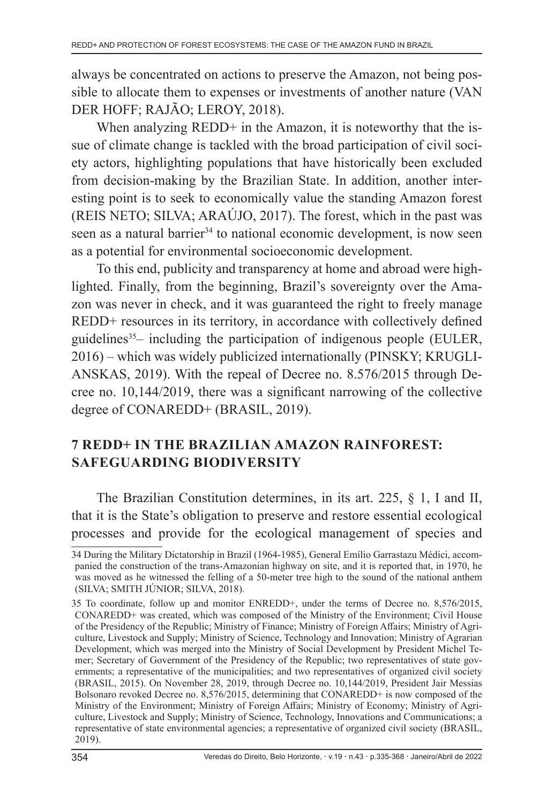always be concentrated on actions to preserve the Amazon, not being possible to allocate them to expenses or investments of another nature (VAN DER HOFF; RAJÃO; LEROY, 2018).

When analyzing REDD+ in the Amazon, it is noteworthy that the issue of climate change is tackled with the broad participation of civil society actors, highlighting populations that have historically been excluded from decision-making by the Brazilian State. In addition, another interesting point is to seek to economically value the standing Amazon forest (REIS NETO; SILVA; ARAÚJO, 2017). The forest, which in the past was seen as a natural barrier<sup>34</sup> to national economic development, is now seen as a potential for environmental socioeconomic development.

To this end, publicity and transparency at home and abroad were highlighted. Finally, from the beginning, Brazil's sovereignty over the Amazon was never in check, and it was guaranteed the right to freely manage REDD+ resources in its territory, in accordance with collectively defined guidelines<sup>35</sup>– including the participation of indigenous people (EULER, 2016) – which was widely publicized internationally (PINSKY; KRUGLI-ANSKAS, 2019). With the repeal of Decree no. 8.576/2015 through Decree no. 10,144/2019, there was a significant narrowing of the collective degree of CONAREDD+ (BRASIL, 2019).

# **7 REDD+ IN THE BRAZILIAN AMAZON RAINFOREST: SAFEGUARDING BIODIVERSITY**

The Brazilian Constitution determines, in its art. 225, § 1, I and II, that it is the State's obligation to preserve and restore essential ecological processes and provide for the ecological management of species and

<sup>34</sup> During the Military Dictatorship in Brazil (1964-1985), General Emílio Garrastazu Médici, accompanied the construction of the trans-Amazonian highway on site, and it is reported that, in 1970, he was moved as he witnessed the felling of a 50-meter tree high to the sound of the national anthem (SILVA; SMITH JÚNIOR; SILVA, 2018).

<sup>35</sup> To coordinate, follow up and monitor ENREDD+, under the terms of Decree no. 8,576/2015, CONAREDD+ was created, which was composed of the Ministry of the Environment; Civil House of the Presidency of the Republic; Ministry of Finance; Ministry of Foreign Affairs; Ministry of Agriculture, Livestock and Supply; Ministry of Science, Technology and Innovation; Ministry of Agrarian Development, which was merged into the Ministry of Social Development by President Michel Temer; Secretary of Government of the Presidency of the Republic; two representatives of state governments; a representative of the municipalities; and two representatives of organized civil society (BRASIL, 2015). On November 28, 2019, through Decree no. 10,144/2019, President Jair Messias Bolsonaro revoked Decree no. 8,576/2015, determining that CONAREDD+ is now composed of the Ministry of the Environment; Ministry of Foreign Affairs; Ministry of Economy; Ministry of Agriculture, Livestock and Supply; Ministry of Science, Technology, Innovations and Communications; a representative of state environmental agencies; a representative of organized civil society (BRASIL, 2019).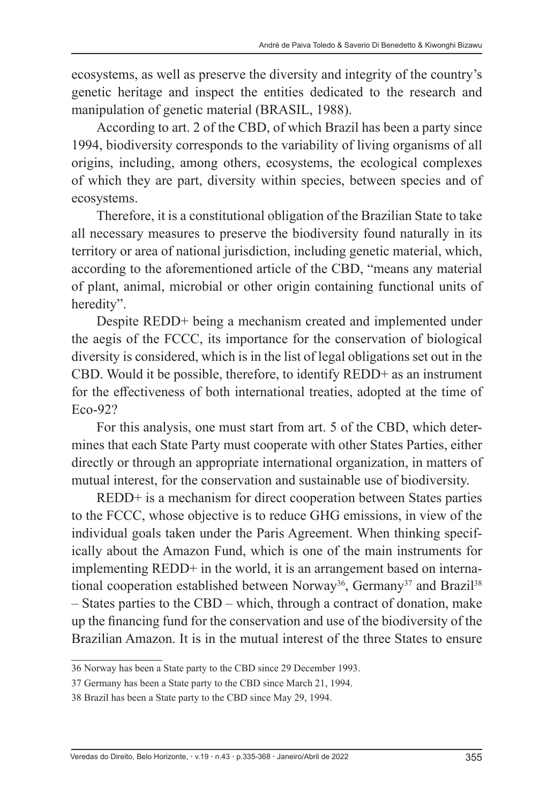ecosystems, as well as preserve the diversity and integrity of the country's genetic heritage and inspect the entities dedicated to the research and manipulation of genetic material (BRASIL, 1988).

According to art. 2 of the CBD, of which Brazil has been a party since 1994, biodiversity corresponds to the variability of living organisms of all origins, including, among others, ecosystems, the ecological complexes of which they are part, diversity within species, between species and of ecosystems.

Therefore, it is a constitutional obligation of the Brazilian State to take all necessary measures to preserve the biodiversity found naturally in its territory or area of national jurisdiction, including genetic material, which, according to the aforementioned article of the CBD, "means any material of plant, animal, microbial or other origin containing functional units of heredity".

Despite REDD+ being a mechanism created and implemented under the aegis of the FCCC, its importance for the conservation of biological diversity is considered, which is in the list of legal obligations set out in the CBD. Would it be possible, therefore, to identify REDD+ as an instrument for the effectiveness of both international treaties, adopted at the time of Eco-92?

For this analysis, one must start from art. 5 of the CBD, which determines that each State Party must cooperate with other States Parties, either directly or through an appropriate international organization, in matters of mutual interest, for the conservation and sustainable use of biodiversity.

REDD+ is a mechanism for direct cooperation between States parties to the FCCC, whose objective is to reduce GHG emissions, in view of the individual goals taken under the Paris Agreement. When thinking specifically about the Amazon Fund, which is one of the main instruments for implementing REDD+ in the world, it is an arrangement based on international cooperation established between Norway<sup>36</sup>, Germany<sup>37</sup> and Brazil<sup>38</sup> – States parties to the CBD – which, through a contract of donation, make up the financing fund for the conservation and use of the biodiversity of the Brazilian Amazon. It is in the mutual interest of the three States to ensure

<sup>36</sup> Norway has been a State party to the CBD since 29 December 1993.

<sup>37</sup> Germany has been a State party to the CBD since March 21, 1994.

<sup>38</sup> Brazil has been a State party to the CBD since May 29, 1994.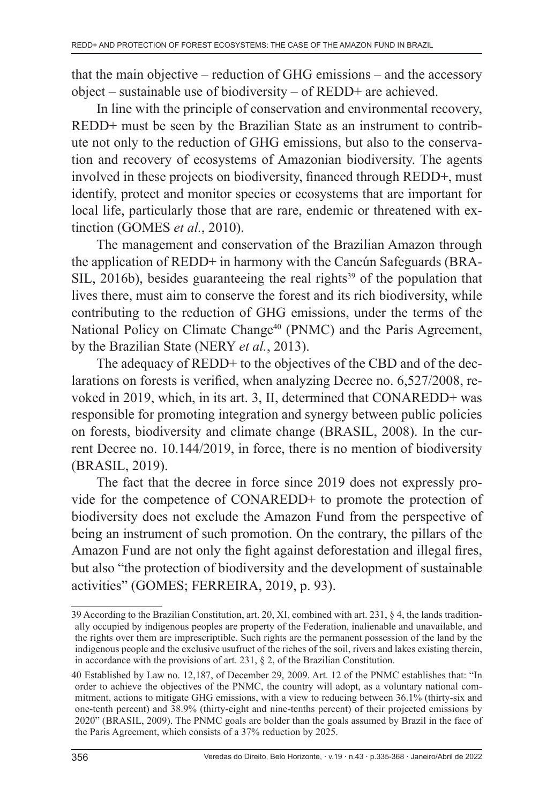that the main objective – reduction of GHG emissions – and the accessory object – sustainable use of biodiversity – of REDD+ are achieved.

In line with the principle of conservation and environmental recovery, REDD+ must be seen by the Brazilian State as an instrument to contribute not only to the reduction of GHG emissions, but also to the conservation and recovery of ecosystems of Amazonian biodiversity. The agents involved in these projects on biodiversity, financed through REDD+, must identify, protect and monitor species or ecosystems that are important for local life, particularly those that are rare, endemic or threatened with extinction (GOMES *et al.*, 2010).

The management and conservation of the Brazilian Amazon through the application of REDD+ in harmony with the Cancún Safeguards (BRA- $SIL$ , 2016b), besides guaranteeing the real rights<sup>39</sup> of the population that lives there, must aim to conserve the forest and its rich biodiversity, while contributing to the reduction of GHG emissions, under the terms of the National Policy on Climate Change<sup>40</sup> (PNMC) and the Paris Agreement, by the Brazilian State (NERY *et al.*, 2013).

The adequacy of REDD+ to the objectives of the CBD and of the declarations on forests is verified, when analyzing Decree no. 6,527/2008, revoked in 2019, which, in its art. 3, II, determined that CONAREDD+ was responsible for promoting integration and synergy between public policies on forests, biodiversity and climate change (BRASIL, 2008). In the current Decree no. 10.144/2019, in force, there is no mention of biodiversity (BRASIL, 2019).

The fact that the decree in force since 2019 does not expressly provide for the competence of CONAREDD+ to promote the protection of biodiversity does not exclude the Amazon Fund from the perspective of being an instrument of such promotion. On the contrary, the pillars of the Amazon Fund are not only the fight against deforestation and illegal fires, but also "the protection of biodiversity and the development of sustainable activities" (GOMES; FERREIRA, 2019, p. 93).

<sup>39</sup> According to the Brazilian Constitution, art. 20, XI, combined with art. 231, § 4, the lands traditionally occupied by indigenous peoples are property of the Federation, inalienable and unavailable, and the rights over them are imprescriptible. Such rights are the permanent possession of the land by the indigenous people and the exclusive usufruct of the riches of the soil, rivers and lakes existing therein, in accordance with the provisions of art. 231,  $\S$  2, of the Brazilian Constitution.

<sup>40</sup> Established by Law no. 12,187, of December 29, 2009. Art. 12 of the PNMC establishes that: "In order to achieve the objectives of the PNMC, the country will adopt, as a voluntary national commitment, actions to mitigate GHG emissions, with a view to reducing between 36.1% (thirty-six and one-tenth percent) and 38.9% (thirty-eight and nine-tenths percent) of their projected emissions by 2020" (BRASIL, 2009). The PNMC goals are bolder than the goals assumed by Brazil in the face of the Paris Agreement, which consists of a 37% reduction by 2025.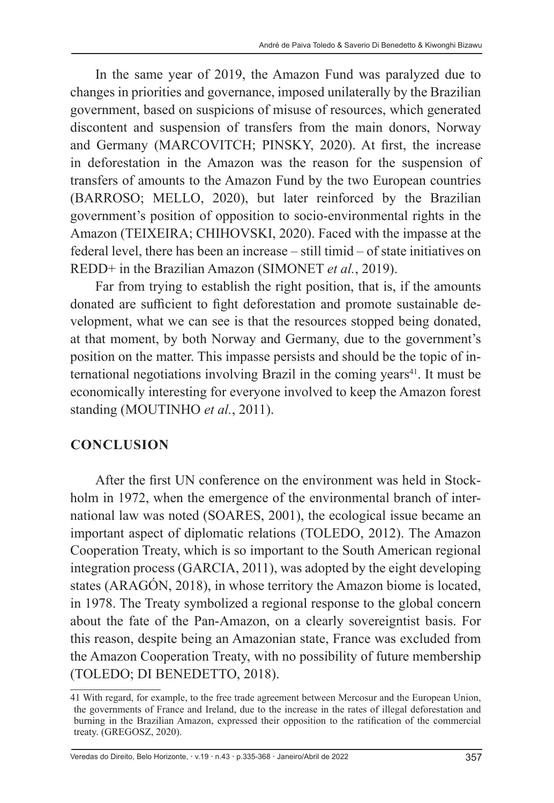In the same year of 2019, the Amazon Fund was paralyzed due to changes in priorities and governance, imposed unilaterally by the Brazilian government, based on suspicions of misuse of resources, which generated discontent and suspension of transfers from the main donors, Norway and Germany (MARCOVITCH; PINSKY, 2020). At first, the increase in deforestation in the Amazon was the reason for the suspension of transfers of amounts to the Amazon Fund by the two European countries (BARROSO; MELLO, 2020), but later reinforced by the Brazilian government's position of opposition to socio-environmental rights in the Amazon (TEIXEIRA; CHIHOVSKI, 2020). Faced with the impasse at the federal level, there has been an increase – still timid – of state initiatives on REDD+ in the Brazilian Amazon (SIMONET *et al.*, 2019).

Far from trying to establish the right position, that is, if the amounts donated are sufficient to fight deforestation and promote sustainable development, what we can see is that the resources stopped being donated, at that moment, by both Norway and Germany, due to the government's position on the matter. This impasse persists and should be the topic of international negotiations involving Brazil in the coming years<sup>41</sup>. It must be economically interesting for everyone involved to keep the Amazon forest standing (MOUTINHO et al., 2011).

#### **CONCLUSION**

After the first UN conference on the environment was held in Stockholm in 1972, when the emergence of the environmental branch of international law was noted (SOARES, 2001), the ecological issue became an important aspect of diplomatic relations (TOLEDO, 2012). The Amazon Cooperation Treaty, which is so important to the South American regional integration process (GARCIA, 2011), was adopted by the eight developing states (ARAGÓN, 2018), in whose territory the Amazon biome is located, in 1978. The Treaty symbolized a regional response to the global concern about the fate of the Pan-Amazon, on a clearly sovereigntist basis. For this reason, despite being an Amazonian state, France was excluded from the Amazon Cooperation Treaty, with no possibility of future membership (TOLEDO; DI BENEDETTO, 2018).

<sup>41</sup> With regard, for example, to the free trade agreement between Mercosur and the European Union, the governments of France and Ireland, due to the increase in the rates of illegal deforestation and burning in the Brazilian Amazon, expressed their opposition to the ratification of the commercial treaty. (GREGOSZ, 2020).

Veredas do Direito, Belo Horizonte, v.19 n.43 p.335-368 Janeiro/Abril de 2022 357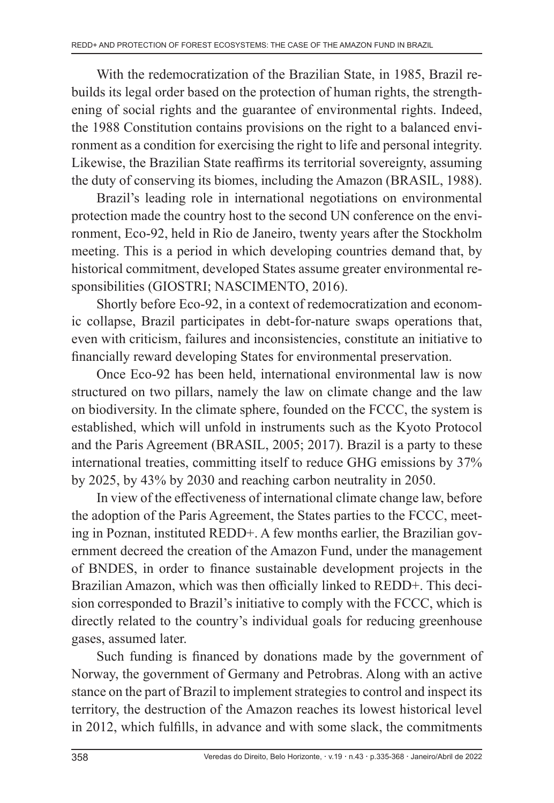With the redemocratization of the Brazilian State, in 1985, Brazil rebuilds its legal order based on the protection of human rights, the strengthening of social rights and the guarantee of environmental rights. Indeed, the 1988 Constitution contains provisions on the right to a balanced environment as a condition for exercising the right to life and personal integrity. Likewise, the Brazilian State reaffirms its territorial sovereignty, assuming the duty of conserving its biomes, including the Amazon (BRASIL, 1988).

Brazil's leading role in international negotiations on environmental protection made the country host to the second UN conference on the environment, Eco-92, held in Rio de Janeiro, twenty years after the Stockholm meeting. This is a period in which developing countries demand that, by historical commitment, developed States assume greater environmental responsibilities (GIOSTRI; NASCIMENTO, 2016).

Shortly before Eco-92, in a context of redemocratization and economic collapse, Brazil participates in debt-for-nature swaps operations that, even with criticism, failures and inconsistencies, constitute an initiative to financially reward developing States for environmental preservation.

Once Eco-92 has been held, international environmental law is now structured on two pillars, namely the law on climate change and the law on biodiversity. In the climate sphere, founded on the FCCC, the system is established, which will unfold in instruments such as the Kyoto Protocol and the Paris Agreement (BRASIL, 2005; 2017). Brazil is a party to these international treaties, committing itself to reduce GHG emissions by 37% by 2025, by 43% by 2030 and reaching carbon neutrality in 2050.

In view of the effectiveness of international climate change law, before the adoption of the Paris Agreement, the States parties to the FCCC, meeting in Poznan, instituted REDD+. A few months earlier, the Brazilian government decreed the creation of the Amazon Fund, under the management of BNDES, in order to finance sustainable development projects in the Brazilian Amazon, which was then officially linked to REDD+. This decision corresponded to Brazil's initiative to comply with the FCCC, which is directly related to the country's individual goals for reducing greenhouse gases, assumed later.

Such funding is financed by donations made by the government of Norway, the government of Germany and Petrobras. Along with an active stance on the part of Brazil to implement strategies to control and inspect its territory, the destruction of the Amazon reaches its lowest historical level in 2012, which fulfills, in advance and with some slack, the commitments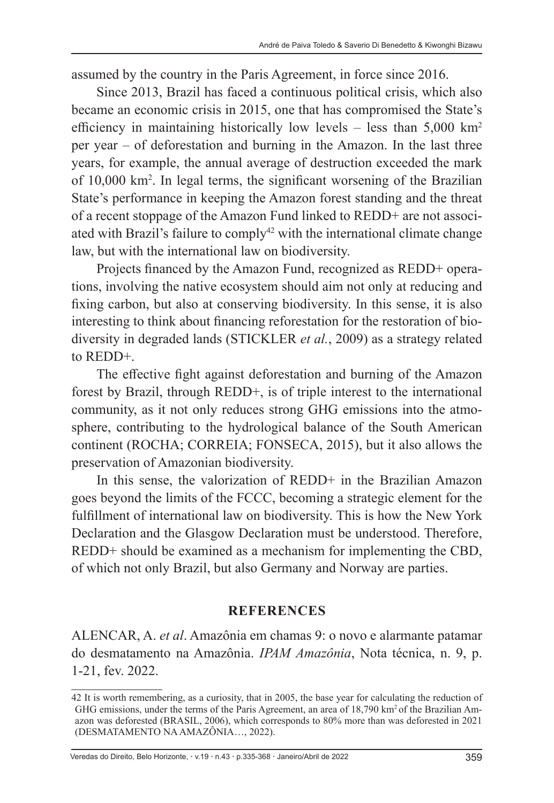assumed by the country in the Paris Agreement, in force since 2016.

Since 2013, Brazil has faced a continuous political crisis, which also became an economic crisis in 2015, one that has compromised the State's efficiency in maintaining historically low levels – less than  $5,000 \text{ km}^2$ per year – of deforestation and burning in the Amazon. In the last three years, for example, the annual average of destruction exceeded the mark of 10,000 km2 . In legal terms, the significant worsening of the Brazilian State's performance in keeping the Amazon forest standing and the threat of a recent stoppage of the Amazon Fund linked to REDD+ are not associated with Brazil's failure to comply<sup>42</sup> with the international climate change law, but with the international law on biodiversity.

Projects financed by the Amazon Fund, recognized as REDD+ operations, involving the native ecosystem should aim not only at reducing and fixing carbon, but also at conserving biodiversity. In this sense, it is also interesting to think about financing reforestation for the restoration of biodiversity in degraded lands (STICKLER *et al.*, 2009) as a strategy related to REDD+.

The effective fight against deforestation and burning of the Amazon forest by Brazil, through REDD+, is of triple interest to the international community, as it not only reduces strong GHG emissions into the atmosphere, contributing to the hydrological balance of the South American continent (ROCHA; CORREIA; FONSECA, 2015), but it also allows the preservation of Amazonian biodiversity.

In this sense, the valorization of REDD+ in the Brazilian Amazon goes beyond the limits of the FCCC, becoming a strategic element for the fulfillment of international law on biodiversity. This is how the New York Declaration and the Glasgow Declaration must be understood. Therefore, REDD+ should be examined as a mechanism for implementing the CBD, of which not only Brazil, but also Germany and Norway are parties.

#### **REFERENCES**

ALENCAR, A. *et al*. Amazônia em chamas 9: o novo e alarmante patamar do desmatamento na Amazônia. *IPAM Amazônia*, Nota técnica, n. 9, p. 1-21, fev. 2022.

Veredas do Direito, Belo Horizonte, v.19 n.43 p.335-368 Janeiro/Abril de 2022 359

<sup>42</sup> It is worth remembering, as a curiosity, that in 2005, the base year for calculating the reduction of GHG emissions, under the terms of the Paris Agreement, an area of 18,790 km<sup>2</sup> of the Brazilian Amazon was deforested (BRASIL, 2006), which corresponds to 80% more than was deforested in 2021 (DESMATAMENTO NA AMAZÔNIA…, 2022).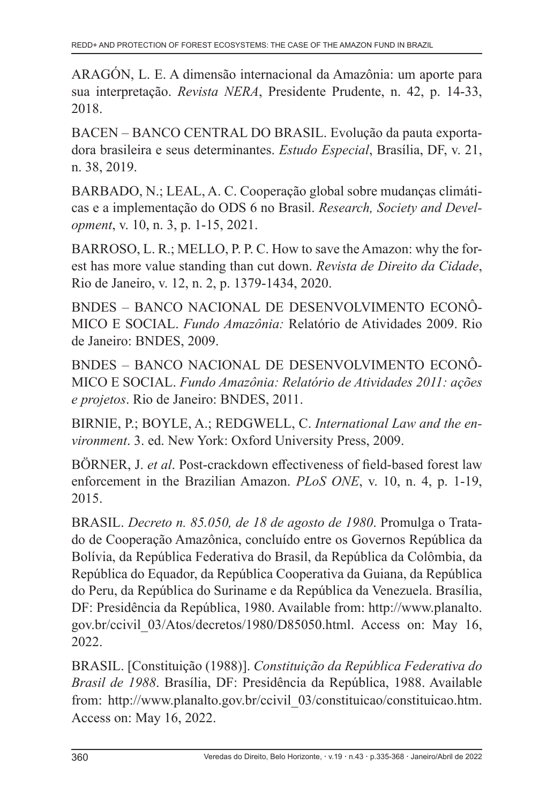ARAGÓN, L. E. A dimensão internacional da Amazônia: um aporte para sua interpretação. *Revista NERA*, Presidente Prudente, n. 42, p. 14-33, 2018.

BACEN – BANCO CENTRAL DO BRASIL. Evolução da pauta exportadora brasileira e seus determinantes. *Estudo Especial*, Brasília, DF, v. 21, n. 38, 2019.

BARBADO, N.; LEAL, A. C. Cooperação global sobre mudanças climáticas e a implementação do ODS 6 no Brasil. *Research, Society and Development*, v. 10, n. 3, p. 1-15, 2021.

BARROSO, L. R.; MELLO, P. P. C. How to save the Amazon: why the forest has more value standing than cut down. *Revista de Direito da Cidade*, Rio de Janeiro, v. 12, n. 2, p. 1379-1434, 2020.

BNDES – BANCO NACIONAL DE DESENVOLVIMENTO ECONÔ-MICO E SOCIAL. *Fundo Amazônia:* Relatório de Atividades 2009. Rio de Janeiro: BNDES, 2009.

BNDES – BANCO NACIONAL DE DESENVOLVIMENTO ECONÔ-MICO E SOCIAL. *Fundo Amazônia: Relatório de Atividades 2011: ações e projetos*. Rio de Janeiro: BNDES, 2011.

BIRNIE, P.; BOYLE, A.; REDGWELL, C. *International Law and the environment*. 3. ed. New York: Oxford University Press, 2009.

BÖRNER, J. *et al*. Post-crackdown effectiveness of field-based forest law enforcement in the Brazilian Amazon. *PLoS ONE*, v. 10, n. 4, p. 1-19, 2015.

BRASIL. *Decreto n. 85.050, de 18 de agosto de 1980*. Promulga o Tratado de Cooperação Amazônica, concluído entre os Governos República da Bolívia, da República Federativa do Brasil, da República da Colômbia, da República do Equador, da República Cooperativa da Guiana, da República do Peru, da República do Suriname e da República da Venezuela. Brasília, DF: Presidência da República, 1980. Available from: http://www.planalto. gov.br/ccivil\_03/Atos/decretos/1980/D85050.html. Access on: May 16, 2022.

BRASIL. [Constituição (1988)]. *Constituição da República Federativa do Brasil de 1988*. Brasília, DF: Presidência da República, 1988. Available from: http://www.planalto.gov.br/ccivil\_03/constituicao/constituicao.htm. Access on: May 16, 2022.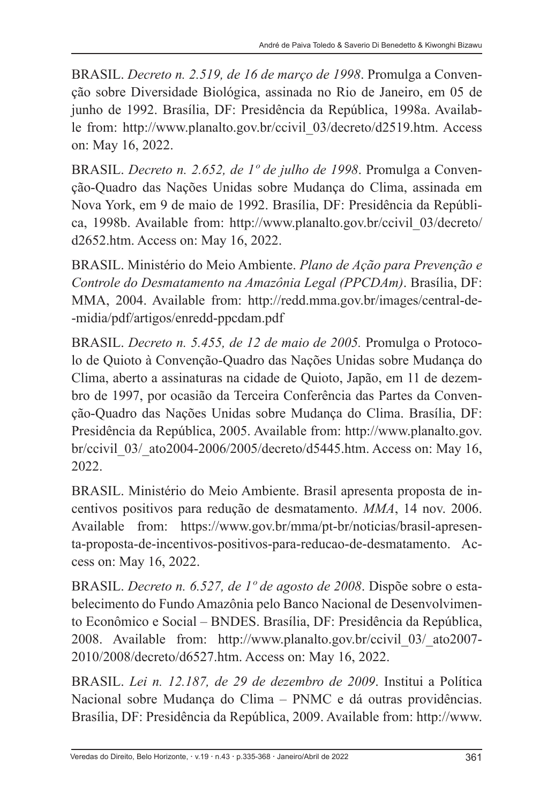BRASIL. *Decreto n. 2.519, de 16 de março de 1998*. Promulga a Convenção sobre Diversidade Biológica, assinada no Rio de Janeiro, em 05 de junho de 1992. Brasília, DF: Presidência da República, 1998a. Available from: http://www.planalto.gov.br/ccivil\_03/decreto/d2519.htm. Access on: May 16, 2022.

BRASIL. *Decreto n. 2.652, de 1º de julho de 1998*. Promulga a Convenção-Quadro das Nações Unidas sobre Mudança do Clima, assinada em Nova York, em 9 de maio de 1992. Brasília, DF: Presidência da República, 1998b. Available from: http://www.planalto.gov.br/ccivil\_03/decreto/ d2652.htm. Access on: May 16, 2022.

BRASIL. Ministério do Meio Ambiente. *Plano de Ação para Prevenção e Controle do Desmatamento na Amazônia Legal (PPCDAm)*. Brasília, DF: MMA, 2004. Available from: http://redd.mma.gov.br/images/central-de- -midia/pdf/artigos/enredd-ppcdam.pdf

BRASIL. *Decreto n. 5.455, de 12 de maio de 2005.* Promulga o Protocolo de Quioto à Convenção-Quadro das Nações Unidas sobre Mudança do Clima, aberto a assinaturas na cidade de Quioto, Japão, em 11 de dezembro de 1997, por ocasião da Terceira Conferência das Partes da Convenção-Quadro das Nações Unidas sobre Mudança do Clima. Brasília, DF: Presidência da República, 2005. Available from: http://www.planalto.gov. br/ccivil 03/ ato2004-2006/2005/decreto/d5445.htm. Access on: May 16, 2022.

BRASIL. Ministério do Meio Ambiente. Brasil apresenta proposta de incentivos positivos para redução de desmatamento. *MMA*, 14 nov. 2006. Available from: https://www.gov.br/mma/pt-br/noticias/brasil-apresenta-proposta-de-incentivos-positivos-para-reducao-de-desmatamento. Access on: May 16, 2022.

BRASIL. *Decreto n. 6.527, de 1º de agosto de 2008*. Dispõe sobre o estabelecimento do Fundo Amazônia pelo Banco Nacional de Desenvolvimento Econômico e Social – BNDES. Brasília, DF: Presidência da República, 2008. Available from: http://www.planalto.gov.br/ccivil\_03/\_ato2007- 2010/2008/decreto/d6527.htm. Access on: May 16, 2022.

BRASIL. *Lei n. 12.187, de 29 de dezembro de 2009*. Institui a Política Nacional sobre Mudança do Clima – PNMC e dá outras providências. Brasília, DF: Presidência da República, 2009. Available from: http://www.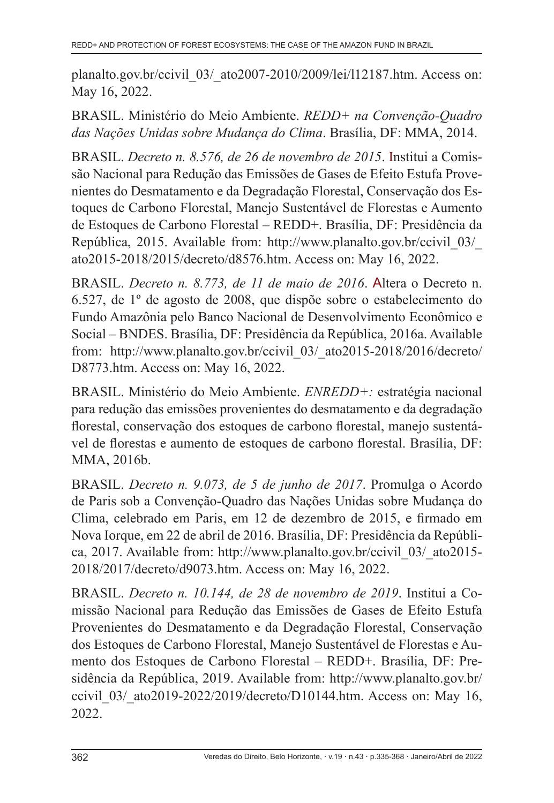planalto.gov.br/ccivil\_03/\_ato2007-2010/2009/lei/l12187.htm. Access on: May 16, 2022.

BRASIL. Ministério do Meio Ambiente. *REDD+ na Convenção-Quadro das Nações Unidas sobre Mudança do Clima*. Brasília, DF: MMA, 2014.

BRASIL. *Decreto n. 8.576, de 26 de novembro de 2015*. Institui a Comissão Nacional para Redução das Emissões de Gases de Efeito Estufa Provenientes do Desmatamento e da Degradação Florestal, Conservação dos Estoques de Carbono Florestal, Manejo Sustentável de Florestas e Aumento de Estoques de Carbono Florestal – REDD+. Brasília, DF: Presidência da República, 2015. Available from: http://www.planalto.gov.br/ccivil\_03/\_ ato2015-2018/2015/decreto/d8576.htm. Access on: May 16, 2022.

BRASIL. *Decreto n. 8.773, de 11 de maio de 2016*. Altera o Decreto n. 6.527, de 1º de agosto de 2008, que dispõe sobre o estabelecimento do Fundo Amazônia pelo Banco Nacional de Desenvolvimento Econômico e Social – BNDES. Brasília, DF: Presidência da República, 2016a. Available from: http://www.planalto.gov.br/ccivil\_03/\_ato2015-2018/2016/decreto/ D8773.htm. Access on: May 16, 2022.

BRASIL. Ministério do Meio Ambiente. *ENREDD+:* estratégia nacional para redução das emissões provenientes do desmatamento e da degradação florestal, conservação dos estoques de carbono florestal, manejo sustentável de florestas e aumento de estoques de carbono florestal. Brasília, DF: MMA, 2016b.

BRASIL. *Decreto n. 9.073, de 5 de junho de 2017*. Promulga o Acordo de Paris sob a Convenção-Quadro das Nações Unidas sobre Mudança do Clima, celebrado em Paris, em 12 de dezembro de 2015, e firmado em Nova Iorque, em 22 de abril de 2016. Brasília, DF: Presidência da República, 2017. Available from: http://www.planalto.gov.br/ccivil\_03/\_ato2015- 2018/2017/decreto/d9073.htm. Access on: May 16, 2022.

BRASIL. *Decreto n. 10.144, de 28 de novembro de 2019*. Institui a Comissão Nacional para Redução das Emissões de Gases de Efeito Estufa Provenientes do Desmatamento e da Degradação Florestal, Conservação dos Estoques de Carbono Florestal, Manejo Sustentável de Florestas e Aumento dos Estoques de Carbono Florestal – REDD+. Brasília, DF: Presidência da República, 2019. Available from: http://www.planalto.gov.br/ ccivil 03/ ato2019-2022/2019/decreto/D10144.htm. Access on: May 16, 2022.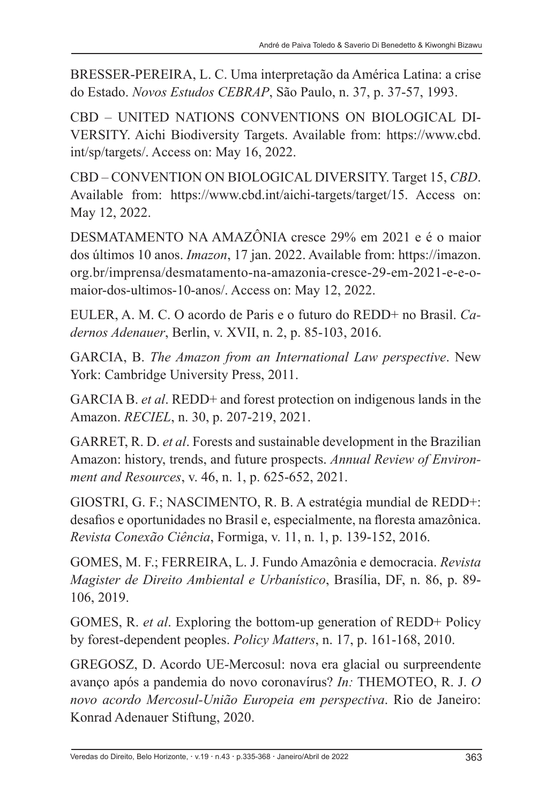BRESSER-PEREIRA, L. C. Uma interpretação da América Latina: a crise do Estado. *Novos Estudos CEBRAP*, São Paulo, n. 37, p. 37-57, 1993.

CBD – UNITED NATIONS CONVENTIONS ON BIOLOGICAL DI-VERSITY. Aichi Biodiversity Targets. Available from: https://www.cbd. int/sp/targets/. Access on: May 16, 2022.

CBD – CONVENTION ON BIOLOGICAL DIVERSITY. Target 15, *CBD*. Available from: https://www.cbd.int/aichi-targets/target/15. Access on: May 12, 2022.

DESMATAMENTO NA AMAZÔNIA cresce 29% em 2021 e é o maior dos últimos 10 anos. *Imazon*, 17 jan. 2022. Available from: https://imazon. org.br/imprensa/desmatamento-na-amazonia-cresce-29-em-2021-e-e-omaior-dos-ultimos-10-anos/. Access on: May 12, 2022.

EULER, A. M. C. O acordo de Paris e o futuro do REDD+ no Brasil. *Cadernos Adenauer*, Berlin, v. XVII, n. 2, p. 85-103, 2016.

GARCIA, B. *The Amazon from an International Law perspective*. New York: Cambridge University Press, 2011.

GARCIA B. *et al*. REDD+ and forest protection on indigenous lands in the Amazon. *RECIEL*, n. 30, p. 207-219, 2021.

GARRET, R. D. *et al*. Forests and sustainable development in the Brazilian Amazon: history, trends, and future prospects. *Annual Review of Environment and Resources*, v. 46, n. 1, p. 625-652, 2021.

GIOSTRI, G. F.; NASCIMENTO, R. B. A estratégia mundial de REDD+: desafios e oportunidades no Brasil e, especialmente, na floresta amazônica. *Revista Conexão Ciência*, Formiga, v. 11, n. 1, p. 139-152, 2016.

GOMES, M. F.; FERREIRA, L. J. Fundo Amazônia e democracia. *Revista Magister de Direito Ambiental e Urbanístico*, Brasília, DF, n. 86, p. 89- 106, 2019.

GOMES, R. *et al*. Exploring the bottom-up generation of REDD+ Policy by forest-dependent peoples. *Policy Matters*, n. 17, p. 161-168, 2010.

GREGOSZ, D. Acordo UE-Mercosul: nova era glacial ou surpreendente avanço após a pandemia do novo coronavírus? *In:* THEMOTEO, R. J. *O novo acordo Mercosul-União Europeia em perspectiva*. Rio de Janeiro: Konrad Adenauer Stiftung, 2020.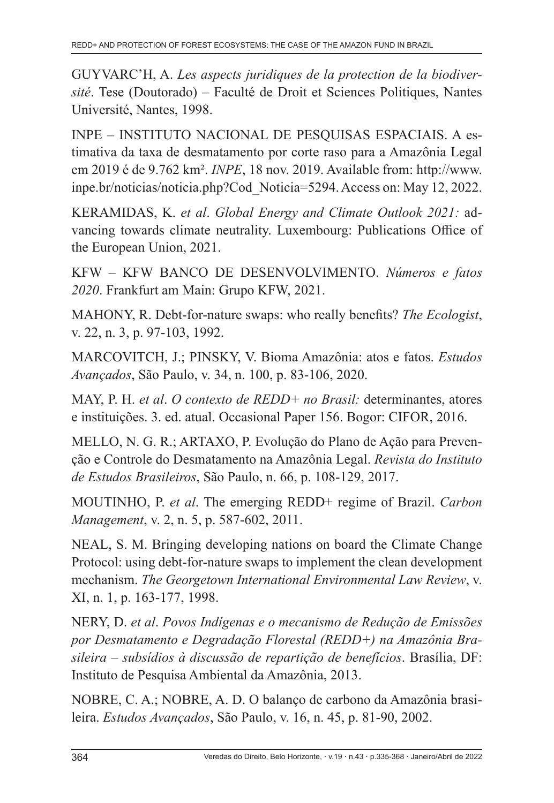GUYVARC'H, A. *Les aspects juridiques de la protection de la biodiversité*. Tese (Doutorado) – Faculté de Droit et Sciences Politiques, Nantes Université, Nantes, 1998.

INPE – INSTITUTO NACIONAL DE PESQUISAS ESPACIAIS. A estimativa da taxa de desmatamento por corte raso para a Amazônia Legal em 2019 é de 9.762 km². *INPE*, 18 nov. 2019. Available from: http://www. inpe.br/noticias/noticia.php?Cod\_Noticia=5294. Access on: May 12, 2022.

KERAMIDAS, K. *et al*. *Global Energy and Climate Outlook 2021:* advancing towards climate neutrality. Luxembourg: Publications Office of the European Union, 2021.

KFW – KFW BANCO DE DESENVOLVIMENTO. *Números e fatos 2020*. Frankfurt am Main: Grupo KFW, 2021.

MAHONY, R. Debt-for-nature swaps: who really benefits? *The Ecologist*, v. 22, n. 3, p. 97-103, 1992.

MARCOVITCH, J.; PINSKY, V. Bioma Amazônia: atos e fatos. *Estudos Avançados*, São Paulo, v. 34, n. 100, p. 83-106, 2020.

MAY, P. H. *et al*. *O contexto de REDD+ no Brasil:* determinantes, atores e instituições. 3. ed. atual. Occasional Paper 156. Bogor: CIFOR, 2016.

MELLO, N. G. R.; ARTAXO, P. Evolução do Plano de Ação para Prevenção e Controle do Desmatamento na Amazônia Legal. *Revista do Instituto de Estudos Brasileiros*, São Paulo, n. 66, p. 108-129, 2017.

MOUTINHO, P. *et al*. The emerging REDD+ regime of Brazil. *Carbon Management*, v. 2, n. 5, p. 587-602, 2011.

NEAL, S. M. Bringing developing nations on board the Climate Change Protocol: using debt-for-nature swaps to implement the clean development mechanism. *The Georgetown International Environmental Law Review*, v. XI, n. 1, p. 163-177, 1998.

NERY, D. *et al*. *Povos Indígenas e o mecanismo de Redução de Emissões por Desmatamento e Degradação Florestal (REDD+) na Amazônia Brasileira – subsídios à discussão de repartição de benefícios*. Brasília, DF: Instituto de Pesquisa Ambiental da Amazônia, 2013.

NOBRE, C. A.; NOBRE, A. D. O balanço de carbono da Amazônia brasileira. *Estudos Avançados*, São Paulo, v. 16, n. 45, p. 81-90, 2002.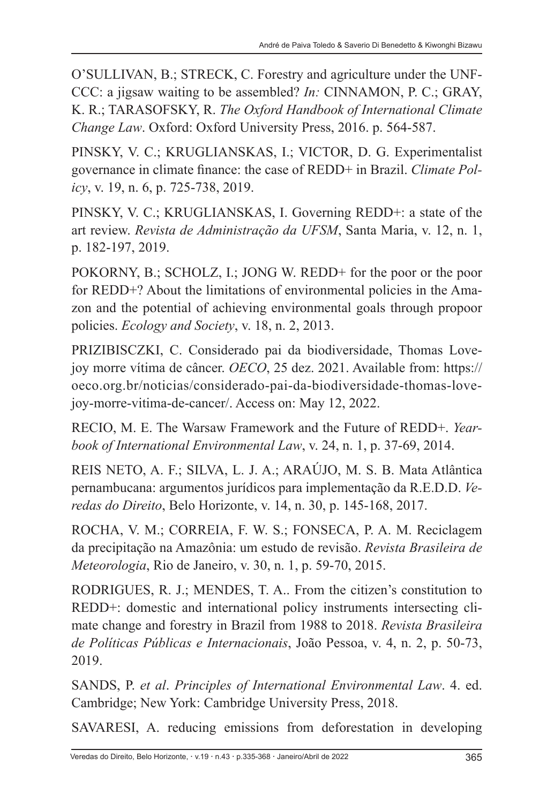O'SULLIVAN, B.; STRECK, C. Forestry and agriculture under the UNF-CCC: a jigsaw waiting to be assembled? *In:* CINNAMON, P. C.; GRAY, K. R.; TARASOFSKY, R. *The Oxford Handbook of International Climate Change Law*. Oxford: Oxford University Press, 2016. p. 564-587.

PINSKY, V. C.; KRUGLIANSKAS, I.; VICTOR, D. G. Experimentalist governance in climate finance: the case of REDD+ in Brazil. *Climate Policy*, v. 19, n. 6, p. 725-738, 2019.

PINSKY, V. C.; KRUGLIANSKAS, I. Governing REDD+: a state of the art review. *Revista de Administração da UFSM*, Santa Maria, v. 12, n. 1, p. 182-197, 2019.

POKORNY, B.; SCHOLZ, I.; JONG W. REDD+ for the poor or the poor for REDD+? About the limitations of environmental policies in the Amazon and the potential of achieving environmental goals through propoor policies. *Ecology and Society*, v. 18, n. 2, 2013.

PRIZIBISCZKI, C. Considerado pai da biodiversidade, Thomas Lovejoy morre vítima de câncer. *OECO*, 25 dez. 2021. Available from: https:// oeco.org.br/noticias/considerado-pai-da-biodiversidade-thomas-lovejoy-morre-vitima-de-cancer/. Access on: May 12, 2022.

RECIO, M. E. The Warsaw Framework and the Future of REDD+. *Yearbook of International Environmental Law*, v. 24, n. 1, p. 37-69, 2014.

REIS NETO, A. F.; SILVA, L. J. A.; ARAÚJO, M. S. B. Mata Atlântica pernambucana: argumentos jurídicos para implementação da R.E.D.D. *Veredas do Direito*, Belo Horizonte, v. 14, n. 30, p. 145-168, 2017.

ROCHA, V. M.; CORREIA, F. W. S.; FONSECA, P. A. M. Reciclagem da precipitação na Amazônia: um estudo de revisão. *Revista Brasileira de Meteorologia*, Rio de Janeiro, v. 30, n. 1, p. 59-70, 2015.

RODRIGUES, R. J.; MENDES, T. A.. From the citizen's constitution to REDD+: domestic and international policy instruments intersecting climate change and forestry in Brazil from 1988 to 2018. *Revista Brasileira de Políticas Públicas e Internacionais*, João Pessoa, v. 4, n. 2, p. 50-73, 2019.

SANDS, P. *et al*. *Principles of International Environmental Law*. 4. ed. Cambridge; New York: Cambridge University Press, 2018.

SAVARESI, A. reducing emissions from deforestation in developing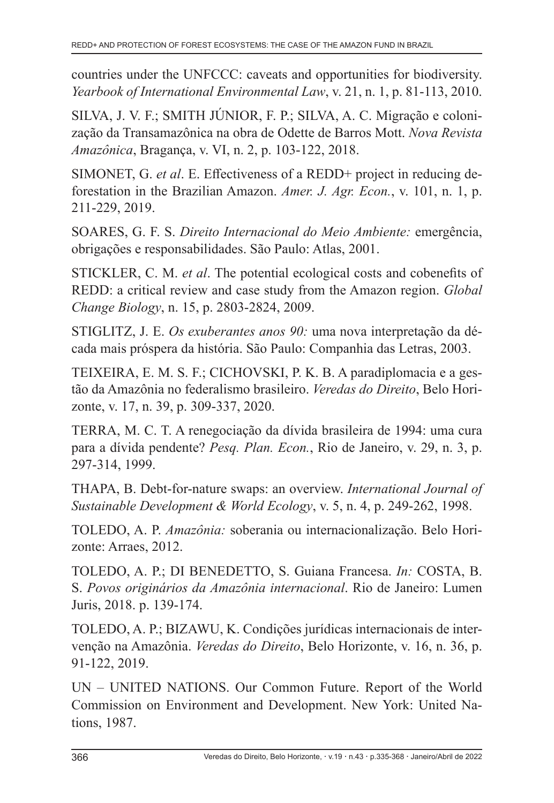countries under the UNFCCC: caveats and opportunities for biodiversity. *Yearbook of International Environmental Law*, v. 21, n. 1, p. 81-113, 2010.

SILVA, J. V. F.; SMITH JÚNIOR, F. P.; SILVA, A. C. Migração e colonização da Transamazônica na obra de Odette de Barros Mott. *Nova Revista Amazônica*, Bragança, v. VI, n. 2, p. 103-122, 2018.

SIMONET, G. *et al*. E. Effectiveness of a REDD+ project in reducing deforestation in the Brazilian Amazon. *Amer. J. Agr. Econ.*, v. 101, n. 1, p. 211-229, 2019.

SOARES, G. F. S. *Direito Internacional do Meio Ambiente:* emergência, obrigações e responsabilidades. São Paulo: Atlas, 2001.

STICKLER, C. M. *et al*. The potential ecological costs and cobenefits of REDD: a critical review and case study from the Amazon region. *Global Change Biology*, n. 15, p. 2803-2824, 2009.

STIGLITZ, J. E. *Os exuberantes anos 90:* uma nova interpretação da década mais próspera da história. São Paulo: Companhia das Letras, 2003.

TEIXEIRA, E. M. S. F.; CICHOVSKI, P. K. B. A paradiplomacia e a gestão da Amazônia no federalismo brasileiro. *Veredas do Direito*, Belo Horizonte, v. 17, n. 39, p. 309-337, 2020.

TERRA, M. C. T. A renegociação da dívida brasileira de 1994: uma cura para a dívida pendente? *Pesq. Plan. Econ.*, Rio de Janeiro, v. 29, n. 3, p. 297-314, 1999.

THAPA, B. Debt-for-nature swaps: an overview. *International Journal of Sustainable Development & World Ecology*, v. 5, n. 4, p. 249-262, 1998.

TOLEDO, A. P. *Amazônia:* soberania ou internacionalização. Belo Horizonte: Arraes, 2012.

TOLEDO, A. P.; DI BENEDETTO, S. Guiana Francesa. *In:* COSTA, B. S. *Povos originários da Amazônia internacional*. Rio de Janeiro: Lumen Juris, 2018. p. 139-174.

TOLEDO, A. P.; BIZAWU, K. Condições jurídicas internacionais de intervenção na Amazônia. *Veredas do Direito*, Belo Horizonte, v. 16, n. 36, p. 91-122, 2019.

UN – UNITED NATIONS. Our Common Future. Report of the World Commission on Environment and Development. New York: United Nations, 1987.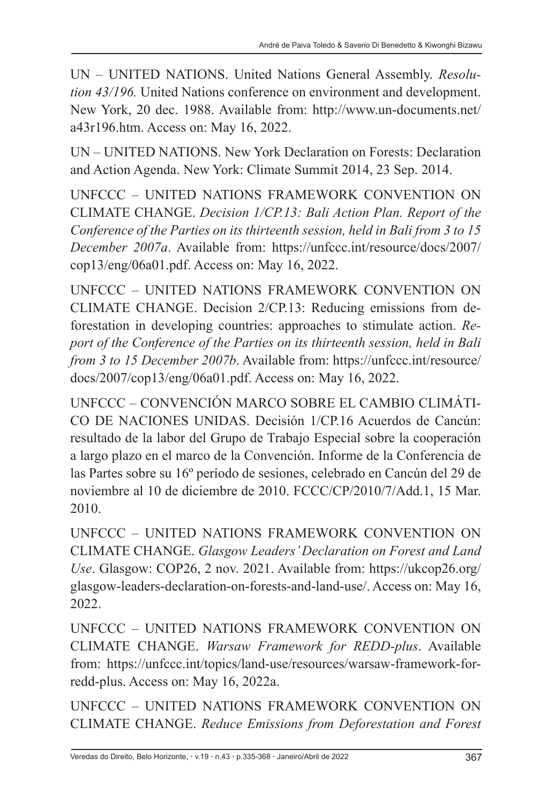UN – UNITED NATIONS. United Nations General Assembly. *Resolution 43/196.* United Nations conference on environment and development. New York, 20 dec. 1988. Available from: http://www.un-documents.net/ a43r196.htm. Access on: May 16, 2022.

UN – UNITED NATIONS. New York Declaration on Forests: Declaration and Action Agenda. New York: Climate Summit 2014, 23 Sep. 2014.

UNFCCC – UNITED NATIONS FRAMEWORK CONVENTION ON CLIMATE CHANGE. *Decision 1/CP.13: Bali Action Plan. Report of the Conference of the Parties on its thirteenth session, held in Bali from 3 to 15 December 2007a*. Available from: https://unfccc.int/resource/docs/2007/ cop13/eng/06a01.pdf. Access on: May 16, 2022.

UNFCCC – UNITED NATIONS FRAMEWORK CONVENTION ON CLIMATE CHANGE. Decision 2/CP.13: Reducing emissions from deforestation in developing countries: approaches to stimulate action. *Report of the Conference of the Parties on its thirteenth session, held in Bali from 3 to 15 December 2007b*. Available from: https://unfccc.int/resource/ docs/2007/cop13/eng/06a01.pdf. Access on: May 16, 2022.

UNFCCC – CONVENCIÓN MARCO SOBRE EL CAMBIO CLIMÁTI-CO DE NACIONES UNIDAS. Decisión 1/CP.16 Acuerdos de Cancún: resultado de la labor del Grupo de Trabajo Especial sobre la cooperación a largo plazo en el marco de la Convención. Informe de la Conferencia de las Partes sobre su 16º período de sesiones, celebrado en Cancún del 29 de noviembre al 10 de diciembre de 2010. FCCC/CP/2010/7/Add.1, 15 Mar. 2010.

UNFCCC – UNITED NATIONS FRAMEWORK CONVENTION ON CLIMATE CHANGE. *Glasgow Leaders' Declaration on Forest and Land Use*. Glasgow: COP26, 2 nov. 2021. Available from: https://ukcop26.org/ glasgow-leaders-declaration-on-forests-and-land-use/. Access on: May 16, 2022.

UNFCCC – UNITED NATIONS FRAMEWORK CONVENTION ON CLIMATE CHANGE. *Warsaw Framework for REDD-plus*. Available from: https://unfccc.int/topics/land-use/resources/warsaw-framework-forredd-plus. Access on: May 16, 2022a.

UNFCCC – UNITED NATIONS FRAMEWORK CONVENTION ON CLIMATE CHANGE. *Reduce Emissions from Deforestation and Forest*